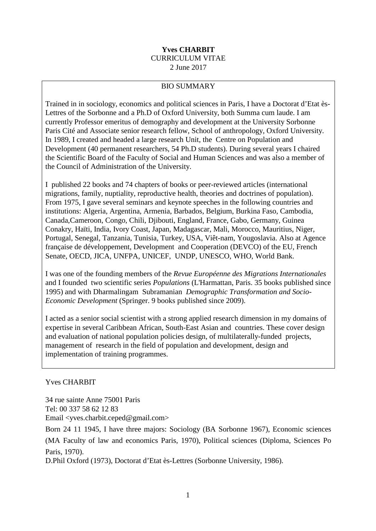#### **Yves CHARBIT** CURRICULUM VITAE 2 June 2017

#### BIO SUMMARY

Trained in in sociology, economics and political sciences in Paris, I have a Doctorat d'Etat ès-Lettres of the Sorbonne and a Ph.D of Oxford University, both Summa cum laude. I am currently Professor emeritus of demography and development at the University Sorbonne Paris Cité and Associate senior research fellow, School of anthropology, Oxford University. In 1989, I created and headed a large research Unit, the Centre on Population and Development (40 permanent researchers, 54 Ph.D students). During several years I chaired the Scientific Board of the Faculty of Social and Human Sciences and was also a member of the Council of Administration of the University.

I published 22 books and 74 chapters of books or peer-reviewed articles (international migrations, family, nuptiality, reproductive health, theories and doctrines of population). From 1975, I gave several seminars and keynote speeches in the following countries and institutions: Algeria, Argentina, Armenia, Barbados, Belgium, Burkina Faso, Cambodia, Canada,Cameroon, Congo, Chili, Djibouti, England, France, Gabo, Germany, Guinea Conakry, Haïti, India, Ivory Coast, Japan, Madagascar, Mali, Morocco, Mauritius, Niger, Portugal, Senegal, Tanzania, Tunisia, Turkey, USA, Viêt-nam, Yougoslavia. Also at Agence française de développement, Development and Cooperation (DEVCO) of the EU, French Senate, OECD, JICA, UNFPA, UNICEF, UNDP, UNESCO, WHO, World Bank.

I was one of the founding members of the *Revue Européenne des Migrations Internationales*  and I founded two scientific series *Populations* (L'Harmattan, Paris. 35 books published since 1995) and with Dharmalingam Subramanian *Demographic Transformation and Socio-Economic Development* (Springer. 9 books published since 2009).

I acted as a senior social scientist with a strong applied research dimension in my domains of expertise in several Caribbean African, South-East Asian and countries. These cover design and evaluation of national population policies design, of multilaterally-funded projects, management of research in the field of population and development, design and implementation of training programmes.

#### Yves CHARBIT

34 rue sainte Anne 75001 Paris Tel: 00 337 58 62 12 83 Email <yves.charbit.ceped@gmail.com>

Born 24 11 1945, I have three majors: Sociology (BA Sorbonne 1967), Economic sciences (MA Faculty of law and economics Paris, 1970), Political sciences (Diploma, Sciences Po Paris, 1970).

D.Phil Oxford (1973), Doctorat d'Etat ès-Lettres (Sorbonne University, 1986).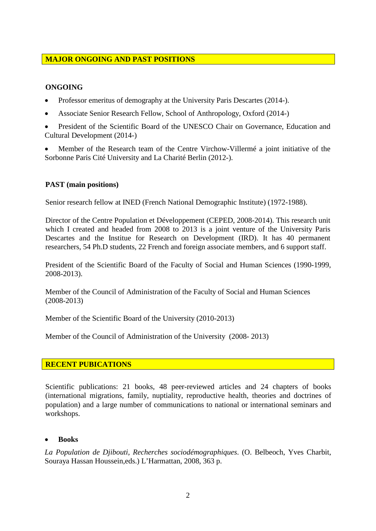## **MAJOR ONGOING AND PAST POSITIONS**

#### **ONGOING**

- Professor emeritus of demography at the University Paris Descartes (2014-).
- Associate Senior Research Fellow, School of Anthropology, Oxford (2014-)
- President of the Scientific Board of the UNESCO Chair on Governance, Education and Cultural Development (2014-)
- Member of the Research team of the Centre Virchow-Villermé a joint initiative of the Sorbonne Paris Cité University and La Charité Berlin (2012-).

#### **PAST (main positions)**

Senior research fellow at INED (French National Demographic Institute) (1972-1988).

Director of the Centre Population et Développement (CEPED, 2008-2014). This research unit which I created and headed from 2008 to 2013 is a joint venture of the University Paris Descartes and the Institue for Research on Development (IRD). It has 40 permanent researchers, 54 Ph.D students, 22 French and foreign associate members, and 6 support staff.

President of the Scientific Board of the Faculty of Social and Human Sciences (1990-1999, 2008-2013).

Member of the Council of Administration of the Faculty of Social and Human Sciences (2008-2013)

Member of the Scientific Board of the University (2010-2013)

Member of the Council of Administration of the University (2008- 2013)

#### **RECENT PUBICATIONS**

Scientific publications: 21 books, 48 peer-reviewed articles and 24 chapters of books (international migrations, family, nuptiality, reproductive health, theories and doctrines of population) and a large number of communications to national or international seminars and workshops.

#### • **Books**

*La Population de Djibouti, Recherches sociodémographiques*. (O. Belbeoch, Yves Charbit, Souraya Hassan Houssein,eds.) L'Harmattan, 2008, 363 p.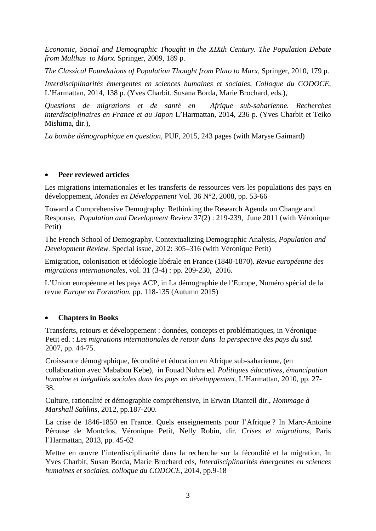*Economic, Social and Demographic Thought in the XIXth Century. The Population Debate from Malthus to Marx.* Springer, 2009, 189 p.

*The Classical Foundations of Population Thought from Plato to Marx*, Springer, 2010, 179 p.

*Interdisciplinarités émergentes en sciences humaines et sociales, Colloque du CODOCE,* L'Harmattan, 2014, 138 p. (Yves Charbit, Susana Borda, Marie Brochard, eds.),

*Questions de migrations et de santé en Afrique sub-saharienne. Recherches interdisciplinaires en France et au Japon* L'Harmattan, 2014, 236 p. (Yves Charbit et Teiko Mishima, dir.),

*La bombe démographique en question*, PUF, 2015, 243 pages (with Maryse Gaimard)

#### • **Peer reviewed articles**

Les migrations internationales et les transferts de ressources vers les populations des pays en développement, *Mondes en Développement* Vol. 36 N°2, 2008, pp. 53-66

Toward a Comprehensive Demography: Rethinking the Research Agenda on Change and Response, *Population and Development Review* 37(2) : 219-239, June 2011 (with Véronique Petit)

The French School of Demography. Contextualizing Demographic Analysis, *Population and Development Review.* Special issue, 2012: 305–316 (with Véronique Petit)

Emigration, colonisation et idéologie libérale en France (1840-1870). *Revue européenne des migrations internationales*, vol. 31 (3-4) : pp. 209-230, 2016.

L'Union européenne et les pays ACP, in La démographie de l'Europe, Numéro spécial de la revue *Europe en Formation.* pp. 118-135 (Autumn 2015)

#### • **Chapters in Books**

Transferts, retours et développement : données, concepts et problématiques, in Véronique Petit ed. : *Les migrations internationales de retour dans la perspective des pays du sud.*  2007, pp. 44-75.

Croissance démographique, fécondité et éducation en Afrique sub-saharienne, (en collaboration avec Mababou Kebe), in Fouad Nohra ed. *Politiques éducatives, émancipation humaine et inégalités sociales dans les pays en développement,* L'Harmattan, 2010, pp. 27- 38.

Culture, rationalité et démographie compréhensive, In Erwan Dianteil dir., *Hommage à Marshall Sahlins*, 2012, pp.187-200.

La crise de 1846-1850 en France. Quels enseignements pour l'Afrique ? In Marc-Antoine Pérouse de Montclos, Véronique Petit, Nelly Robin, dir. *Crises et migrations*, Paris l'Harmattan, 2013, pp. 45-62

Mettre en œuvre l'interdisciplinarité dans la recherche sur la fécondité et la migration, In Yves Charbit, Susan Borda, Marie Brochard eds, *Interdisciplinarités émergentes en sciences humaines et sociales, colloque du CODOCE,* 2014, pp.9-18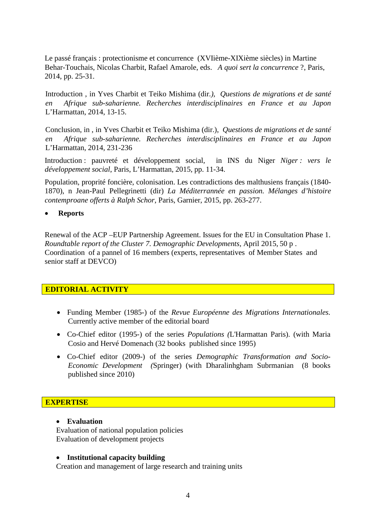Le passé français : protectionisme et concurrence (XVIième-XIXième siècles) in Martine Behar-Touchais, Nicolas Charbit, Rafael Amarole, eds. *A quoi sert la concurrence* ?, Paris, 2014, pp. 25-31.

Introduction , in Yves Charbit et Teiko Mishima (dir*.), Questions de migrations et de santé en Afrique sub-saharienne. Recherches interdisciplinaires en France et au Japon* L'Harmattan, 2014, 13-15.

Conclusion, in , in Yves Charbit et Teiko Mishima (dir.), *Questions de migrations et de santé en Afrique sub-saharienne. Recherches interdisciplinaires en France et au Japon* L'Harmattan, 2014, 231-236

Introduction : pauvreté et développement social*,* in INS du Niger *Niger : vers le développement social*, Paris, L'Harmattan, 2015, pp. 11-34.

Population, proprité foncière, colonisation. Les contradictions des malthusiens français (1840- 1870), n Jean-Paul Pellegrinetti (dir) *La Méditerrannée en passion. Mélanges d'histoire contemproane offerts à Ralph Schor*, Paris, Garnier, 2015, pp. 263-277.

#### • **Reports**

Renewal of the ACP –EUP Partnership Agreement. Issues for the EU in Consultation Phase 1. *Roundtable report of the Cluster 7. Demographic Developments*, April 2015, 50 p . Coordination of a pannel of 16 members (experts, representatives of Member States and senior staff at DEVCO)

#### **EDITORIAL ACTIVITY**

- Funding Member (1985-) of the *Revue Européenne des Migrations Internationales.*  Currently active member of the editorial board
- Co-Chief editor (1995-) of the series *Populations (*L'Harmattan Paris). (with Maria Cosio and Hervé Domenach (32 books published since 1995)
- Co-Chief editor (2009-) of the series *Demographic Transformation and Socio-Economic Development (*Springer) (with Dharalinhgham Subrmanian (8 books published since 2010)

#### **EXPERTISE**

#### • **Evaluation**

Evaluation of national population policies Evaluation of development projects

#### • **Institutional capacity building**

Creation and management of large research and training units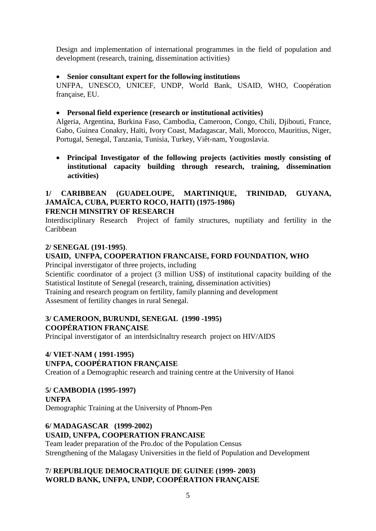Design and implementation of international programmes in the field of population and development (research, training, dissemination activities)

## • **Senior consultant expert for the following institutions**

UNFPA, UNESCO, UNICEF, UNDP, World Bank, USAID, WHO, Coopération française, EU.

## • **Personal field experience (research or institutional activities)**

Algeria, Argentina, Burkina Faso, Cambodia, Cameroon, Congo, Chili, Djibouti, France, Gabo, Guinea Conakry, Haïti, Ivory Coast, Madagascar, Mali, Morocco, Mauritius, Niger, Portugal, Senegal, Tanzania, Tunisia, Turkey, Viêt-nam, Yougoslavia.

• **Principal Investigator of the following projects (activities mostly consisting of institutional capacity building through research, training, dissemination activities)**

#### **1/ CARIBBEAN (GUADELOUPE, MARTINIQUE, TRINIDAD, GUYANA, JAMAÏCA, CUBA, PUERTO ROCO, HAITI) (1975-1986) FRENCH MINSITRY OF RESEARCH**

Interdisciplinary Research Project of family structures, nuptiliaty and fertility in the Caribbean

#### **2/ SENEGAL (191-1995)**.

## **USAID, UNFPA, COOPERATION FRANCAISE, FORD FOUNDATION, WHO**

Principal inverstigator of three projects, including

Scientific coordinator of a project (3 million US\$) of institutional capacity building of the Statistical Institute of Senegal (research, training, dissemination activities)

Training and research program on fertility, family planning and development Assesment of fertility changes in rural Senegal.

## **3/ CAMEROON, BURUNDI, SENEGAL (1990 -1995) COOPÉRATION FRANÇAISE**

Principal inverstigator of an interdsiclnaltry research project on HIV/AIDS

## **4/ VIET-NAM ( 1991-1995) UNFPA, COOPÉRATION FRANÇAISE**

Creation of a Demographic research and training centre at the University of Hanoi

## **5/ CAMBODIA (1995-1997)**

**UNFPA** 

Demographic Training at the University of Phnom-Pen

## **6/ MADAGASCAR (1999-2002)**

#### **USAID, UNFPA, COOPERATION FRANCAISE**

Team leader preparation of the Pro.doc of the Population Census Strengthening of the Malagasy Universities in the field of Population and Development

## **7/ REPUBLIQUE DEMOCRATIQUE DE GUINEE (1999- 2003) WORLD BANK, UNFPA, UNDP, COOPÉRATION FRANÇAISE**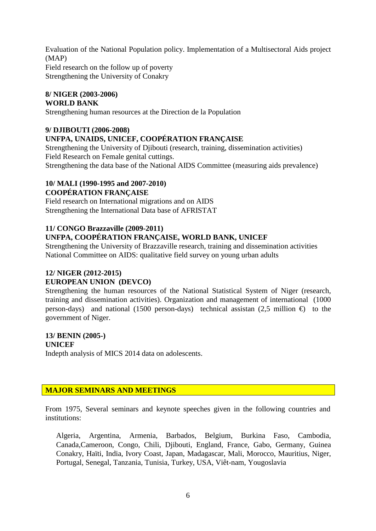Evaluation of the National Population policy. Implementation of a Multisectoral Aids project (MAP) Field research on the follow up of poverty Strengthening the University of Conakry

#### **8/ NIGER (2003-2006) WORLD BANK**

Strengthening human resources at the Direction de la Population

## **9/ DJIBOUTI (2006-2008)**

## **UNFPA, UNAIDS, UNICEF, COOPÉRATION FRANÇAISE**

Strengthening the University of Djibouti (research, training, dissemination activities) Field Research on Female genital cuttings. Strengthening the data base of the National AIDS Committee (measuring aids prevalence)

#### **10/ MALI (1990-1995 and 2007-2010) COOPÉRATION FRANÇAISE**

Field research on International migrations and on AIDS Strengthening the International Data base of AFRISTAT

## **11/ CONGO Brazzaville (2009-2011) UNFPA, COOPÉRATION FRANÇAISE, WORLD BANK, UNICEF**

Strengthening the University of Brazzaville research, training and dissemination activities National Committee on AIDS: qualitative field survey on young urban adults

## **12/ NIGER (2012-2015) EUROPEAN UNION (DEVCO)**

Strengthening the human resources of the National Statistical System of Niger (research, training and dissemination activities). Organization and management of international (1000 person-days) and national (1500 person-days) technical assistan (2,5 million  $\oplus$  to the government of Niger.

## **13/ BENIN (2005-)**

**UNICEF**  Indepth analysis of MICS 2014 data on adolescents.

## **MAJOR SEMINARS AND MEETINGS**

From 1975, Several seminars and keynote speeches given in the following countries and institutions:

Algeria, Argentina, Armenia, Barbados, Belgium, Burkina Faso, Cambodia, Canada,Cameroon, Congo, Chili, Djibouti, England, France, Gabo, Germany, Guinea Conakry, Haïti, India, Ivory Coast, Japan, Madagascar, Mali, Morocco, Mauritius, Niger, Portugal, Senegal, Tanzania, Tunisia, Turkey, USA, Viêt-nam, Yougoslavia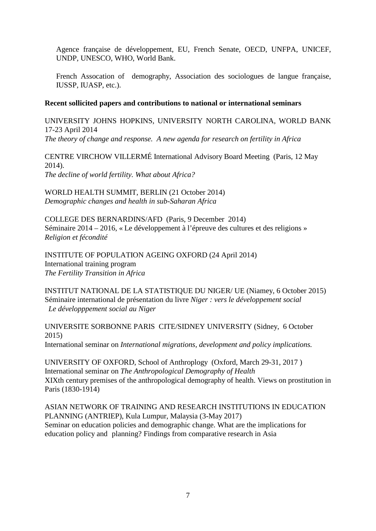Agence française de développement, EU, French Senate, OECD, UNFPA, UNICEF, UNDP, UNESCO, WHO, World Bank.

French Assocation of demography, Association des sociologues de langue française, IUSSP, IUASP, etc.).

#### **Recent sollicited papers and contributions to national or international seminars**

UNIVERSITY JOHNS HOPKINS, UNIVERSITY NORTH CAROLINA, WORLD BANK 17-23 April 2014 *The theory of change and response. A new agenda for research on fertility in Africa*

CENTRE VIRCHOW VILLERMÉ International Advisory Board Meeting (Paris, 12 May 2014). *The decline of world fertility. What about Africa?*

WORLD HEALTH SUMMIT, BERLIN (21 October 2014) *Demographic changes and health in sub-Saharan Africa*

COLLEGE DES BERNARDINS/AFD (Paris, 9 December 2014) Séminaire 2014 – 2016, « Le développement à l'épreuve des cultures et des religions » *Religion et fécondité* 

INSTITUTE OF POPULATION AGEING OXFORD (24 April 2014) International training program *The Fertility Transition in Africa*

INSTITUT NATIONAL DE LA STATISTIQUE DU NIGER/ UE (Niamey, 6 October 2015) Séminaire international de présentation du livre *Niger : vers le développement social Le développpement social au Niger* 

UNIVERSITE SORBONNE PARIS CITE/SIDNEY UNIVERSITY (Sidney, 6 October 2015) International seminar on *International migrations, development and policy implications.*

UNIVERSITY OF OXFORD, School of Anthroplogy (Oxford, March 29-31, 2017 ) International seminar on *The Anthropological Demography of Health* XIXth century premises of the anthropological demography of health. Views on prostitution in Paris (1830-1914)

ASIAN NETWORK OF TRAINING AND RESEARCH INSTITUTIONS IN EDUCATION PLANNING (ANTRIEP), Kula Lumpur, Malaysia (3-May 2017) Seminar on education policies and demographic change. What are the implications for education policy and planning? Findings from comparative research in Asia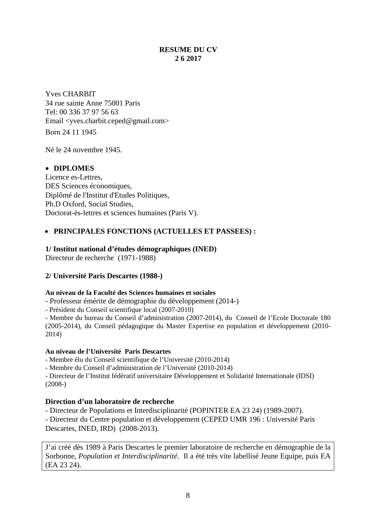## **RESUME DU CV 2 6 2017**

Yves CHARBIT 34 rue sainte Anne 75001 Paris Tel: 00 336 37 97 56 63 Email <yves.charbit.ceped@gmail.com> Born 24 11 1945

Né le 24 novembre 1945.

## • **DIPLOMES**

Licence es-Lettres, DES Sciences économiques, Diplômé de l'Institut d'Etudes Politiques, Ph.D Oxford, Social Studies, Doctorat-ès-lettres et sciences humaines (Paris V).

## • **PRINCIPALES FONCTIONS (ACTUELLES ET PASSEES) :**

#### **1/ Institut national d'études démographiques (INED)**

Directeur de recherche (1971-1988)

#### **2/ Université Paris Descartes (1988-)**

#### **Au niveau de la Faculté des Sciences humaines et sociales**

- Professeur émérite de démographie du développement (2014-)

- Président du Conseil scientifique local (2007-2010)

- Membre du bureau du Conseil d'administration (2007-2014), du Conseil de l'Ecole Doctorale 180 (2005-2014), du Conseil pédagogique du Master Expertise en population et développement (2010- 2014)

#### **Au niveau de l'Université Paris Descartes**

- Membre élu du Conseil scientifique de l'Université (2010-2014)

- Membre du Conseil d'administration de l'Université (2010-2014)

- Directeur de l'Institut fédératif universitaire Développement et Solidarité Internationale (IDSI) (2008-)

#### **Direction d'un laboratoire de recherche**

- Directeur de Populations et Interdisciplinarité (POPINTER EA 23 24) (1989-2007).

- Directeur du Centre population et développement (CEPED UMR 196 : Université Paris Descartes, INED, IRD) (2008-2013).

J'ai créé dès 1989 à Paris Descartes le premier laboratoire de recherche en démographie de la Sorbonne, *Population et Interdisciplinarité*. Il a été très vite labellisé Jeune Equipe, puis EA (EA 23 24).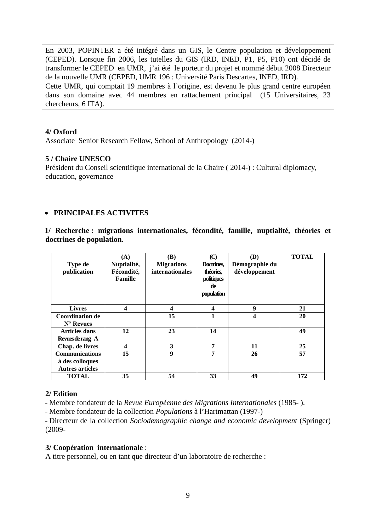En 2003, POPINTER a été intégré dans un GIS, le Centre population et développement (CEPED). Lorsque fin 2006, les tutelles du GIS (IRD, INED, P1, P5, P10) ont décidé de transformer le CEPED en UMR, j'ai été le porteur du projet et nommé début 2008 Directeur de la nouvelle UMR (CEPED, UMR 196 : Université Paris Descartes, INED, IRD). Cette UMR, qui comptait 19 membres à l'origine, est devenu le plus grand centre européen dans son domaine avec 44 membres en rattachement principal (15 Universitaires, 23 chercheurs, 6 ITA).

#### **4/ Oxford**

Associate Senior Research Fellow, School of Anthropology (2014-)

#### **5 / Chaire UNESCO**

Président du Conseil scientifique international de la Chaire ( 2014-) : Cultural diplomacy, education, governance

#### • **PRINCIPALES ACTIVITES**

**1/ Recherche : migrations internationales, fécondité, famille, nuptialité, théories et doctrines de population.** 

| <b>Type de</b><br>publication                                      | (A)<br>Nuptialité,<br>Fécondité,<br>Famille | (B)<br><b>Migrations</b><br>internationales | $\mathbf{C}$<br>Doctrines,<br>théories,<br>politiques<br>de<br>population | (D)<br>Démographie du<br>développement | <b>TOTAL</b> |
|--------------------------------------------------------------------|---------------------------------------------|---------------------------------------------|---------------------------------------------------------------------------|----------------------------------------|--------------|
| <b>Livres</b>                                                      | 4                                           | 4                                           | $\overline{\mathbf{4}}$                                                   | 9                                      | 21           |
| <b>Coordination de</b><br>$N^{\circ}$ Revues                       |                                             | 15                                          | 1                                                                         | 4                                      | 20           |
| <b>Articles dans</b><br>Revues de rang A                           | 12                                          | 23                                          | 14                                                                        |                                        | 49           |
| Chap. de livres                                                    | 4                                           | 3                                           | 7                                                                         | 11                                     | 25           |
| <b>Communications</b><br>à des colloques<br><b>Autres articles</b> | 15                                          | 9                                           | 7                                                                         | 26                                     | 57           |
| <b>TOTAL</b>                                                       | 35                                          | 54                                          | 33                                                                        | 49                                     | 172          |

#### **2/ Edition**

- Membre fondateur de la *Revue Européenne des Migrations Internationales* (1985- ).

- Membre fondateur de la collection *Populations* à l'Hartmattan (1997-)

- Directeur de la collection *Sociodemographic change and economic development* (Springer) (2009-

#### **3/ Coopération internationale** :

A titre personnel, ou en tant que directeur d'un laboratoire de recherche :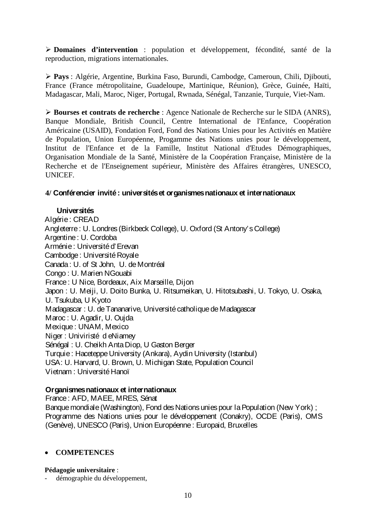**Domaines d'intervention** : population et développement, fécondité, santé de la reproduction, migrations internationales.

 **Pays** : Algérie, Argentine, Burkina Faso, Burundi, Cambodge, Cameroun, Chili, Djibouti, France (France métropolitaine, Guadeloupe, Martinique, Réunion), Grèce, Guinée, Haïti, Madagascar, Mali, Maroc, Niger, Portugal, Rwnada, Sénégal, Tanzanie, Turquie, Viet-Nam.

 **Bourses et contrats de recherche** : Agence Nationale de Recherche sur le SIDA (ANRS), Banque Mondiale, British Council, Centre International de l'Enfance, Coopération Américaine (USAID), Fondation Ford, Fond des Nations Unies pour les Activités en Matière de Population, Union Européenne, Progamme des Nations unies pour le développement, Institut de l'Enfance et de la Famille, Institut National d'Etudes Démographiques, Organisation Mondiale de la Santé, Ministère de la Coopération Française, Ministère de la Recherche et de l'Enseignement supérieur, Ministère des Affaires étrangères, UNESCO, UNICEF.

#### **4/ Conférencier invité : universités et organismes nationaux et internationaux**

#### **Universités**

Algérie: CREAD Angleterre : U. Londres (Birkbeck College), U. Oxford (St Antony's College) Argentine : U. Cordoba Arménie: Université d'Erevan Cambodge : Université Royale Canada : U. of St John, U. de Montréal Congo : U. Marien NGouabi France: U Nice, Bordeaux, Aix Marseille, Dijon Japon : U. Meiji, U. Doito Bunka, U. Ritsumeikan, U. Hitotsubashi, U. Tokyo, U. Osaka, U. Tsukuba, U Kyoto Madagascar : U. de Tananarive, Université catholique de Madagascar Maroc : U. Agadir, U. Oujda Mexique: UNAM, Mexico Niger : Univiristé d eNiamey Sénégal : U. Cheikh Anta Diop, U Gaston Berger Turquie : Haceteppe University (Ankara), Aydin University (Istanbul) USA: U. Harvard, U. Brown, U. Michigan State, Population Council Vietnam : Université Hanoï

#### **Organismes nationaux et internationaux**

France: AFD, MAEE, MRES, Sénat Banque mondiale (Washington), Fond des Nations unies pour la Population (New York) ; Programme des Nations unies pour le développement (Conakry), OCDE (Paris), OMS (Genève), UNESCO (Paris), Union Européenne: Europaid, Bruxelles

#### • **COMPETENCES**

#### **Pédagogie universitaire** :

démographie du développement,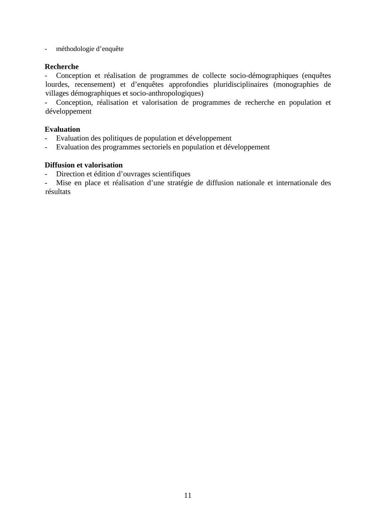- méthodologie d'enquête

#### **Recherche**

- Conception et réalisation de programmes de collecte socio-démographiques (enquêtes lourdes, recensement) et d'enquêtes approfondies pluridisciplinaires (monographies de villages démographiques et socio-anthropologiques)

- Conception, réalisation et valorisation de programmes de recherche en population et développement

#### **Evaluation**

- Evaluation des politiques de population et développement
- Evaluation des programmes sectoriels en population et développement

#### **Diffusion et valorisation**

- Direction et édition d'ouvrages scientifiques

Mise en place et réalisation d'une stratégie de diffusion nationale et internationale des résultats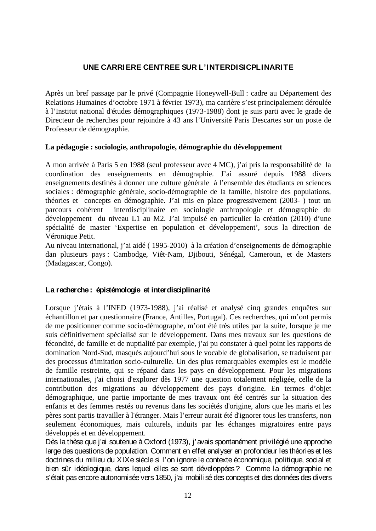## **UNE CARRIERE CENTREE SUR L'INTERDISICPLINARITE**

Après un bref passage par le privé (Compagnie Honeywell-Bull : cadre au Département des Relations Humaines d'octobre 1971 à février 1973), ma carrière s'est principalement déroulée à l'Institut national d'études démographiques (1973-1988) dont je suis parti avec le grade de Directeur de recherches pour rejoindre à 43 ans l'Université Paris Descartes sur un poste de Professeur de démographie.

#### **La pédagogie : sociologie, anthropologie, démographie du développement**

A mon arrivée à Paris 5 en 1988 (seul professeur avec 4 MC), j'ai pris la responsabilité de la coordination des enseignements en démographie. J'ai assuré depuis 1988 divers enseignements destinés à donner une culture générale à l'ensemble des étudiants en sciences sociales : démographie générale, socio-démographie de la famille, histoire des populations, théories et concepts en démographie. J'ai mis en place progressivement (2003- ) tout un parcours cohérent interdisciplinaire en sociologie anthropologie et démographie du développement du niveau L1 au M2. J'ai impulsé en particulier la création (2010) d'une spécialité de master 'Expertise en population et développement', sous la direction de Véronique Petit.

Au niveau international, j'ai aidé ( 1995-2010) à la création d'enseignements de démographie dan plusieurs pays : Cambodge, Viêt-Nam, Djibouti, Sénégal, Cameroun, et de Masters (Madagascar, Congo).

#### **La recherche: épistémologie et interdisciplinarité**

Lorsque j'étais à l'INED (1973-1988), j'ai réalisé et analysé cinq grandes enquêtes sur échantillon et par questionnaire (France, Antilles, Portugal). Ces recherches, qui m'ont permis de me positionner comme socio-démographe, m'ont été très utiles par la suite, lorsque je me suis définitivement spécialisé sur le développement. Dans mes travaux sur les questions de fécondité, de famille et de nuptialité par exemple, j'ai pu constater à quel point les rapports de domination Nord-Sud, masqués aujourd'hui sous le vocable de globalisation, se traduisent par des processus d'imitation socio-culturelle. Un des plus remarquables exemples est le modèle de famille restreinte, qui se répand dans les pays en développement. Pour les migrations internationales, j'ai choisi d'explorer dès 1977 une question totalement négligée, celle de la contribution des migrations au développement des pays d'origine. En termes d'objet démographique, une partie importante de mes travaux ont été centrés sur la situation des enfants et des femmes restés ou revenus dans les sociétés d'origine, alors que les maris et les pères sont partis travailler à l'étranger. Mais l'erreur aurait été d'ignorer tous les transferts, non seulement économiques, mais culturels, induits par les échanges migratoires entre pays développés et en développement.

Dès la thèse que j'ai soutenue à Oxford (1973), j'avais spontanément privilégié une approche large des questions de population. Comment en effet analyser en profondeur les théories et les doctrines du milieu du XIXe siècle si l'on ignore le contexte économique, politique, social et bien sûr idéologique, dans lequel elles se sont développées ? Comme la démographie ne s'était pas encore autonomisée vers 1850, j'ai mobilisé des concepts et des données des divers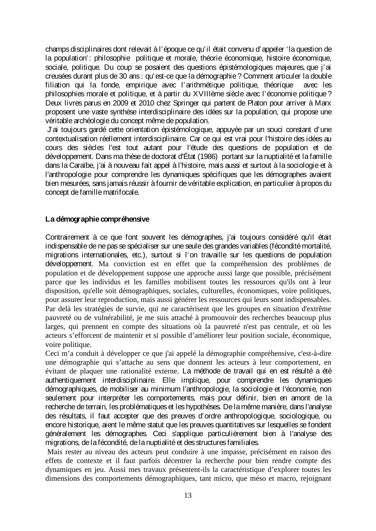champs disciplinaires dont relevait à l'époque ce qu'il était convenu d'appeler 'la question de la population': philosophie politique et morale, théorie économique, histoire économique, sociale, politique. Du coup se posaient des questions épistémologiques majeures, que j'ai creusées durant plus de 30 ans : qu'est-ce que la démographie? Comment articuler la double filiation qui la fonde, empirique avec l'arithmétique politique, théorique avec les philosophies morale et politique, et à partir du XVIIIème siècle avec l'économie politique? Deux livres parus en 2009 et 2010 chez Springer qui partent de Platon pour arriver à Marx proposent une vaste synthèse interdisciplinaire des idées sur la population, qui propose une véritable archéologie du concept même de population.

J'ai toujours gardé cette orientation épistémologique, appuyée par un souci constant d'une contextualisation réellement interdisciplinaire. Car ce qui est vrai pour l'histoire des idées au cours des siècles l'est tout autant pour l'étude des questions de population et de développement. Dans ma thèse de doctorat d'État (1986) portant sur la nuptialité et la famille dans la Caraïbe, j'ai à nouveau fait appel à l'histoire, mais aussi et surtout à la sociologie et à l'anthropologie pour comprendre les dynamiques spécifiques que les démographes avaient bien mesurées, sans jamais réussir à fournir de véritable explication, en particulier à propos du concept de famille matrifocale.

## **La démographie compréhensive**

Contrairement à ce que font souvent les démographes, j'ai toujours considéré qu'il était indispensable de ne pas se spécialiser sur une seule des grandes variables (fécondité mortalité, migrations internationales, etc.), surtout si l'on travaille sur les questions de population développement. Ma conviction est en effet que la compréhension des problèmes de population et de développement suppose une approche aussi large que possible, précisément parce que les individus et les familles mobilisent toutes les ressources qu'ils ont à leur disposition, qu'elle soit démographiques, sociales, culturelles, économiques, voire politiques, pour assurer leur reproduction, mais aussi générer les ressources qui leurs sont indispensables. Par delà les stratégies de survie, qui ne caractérisent que les groupes en situation d'extrême pauvreté ou de vulnérabilité, je me suis attaché à promouvoir des recherches beaucoup plus larges, qui prennent en compte des situations où la pauvreté n'est pas centrale, et où les acteurs s'efforcent de maintenir et si possible d'améliorer leur position sociale, économique, voire politique.

Ceci m'a conduit à développer ce que j'ai appelé la démographie compréhensive, c'est-à-dire une démographie qui s'attache au sens que donnent les acteurs à leur comportement, en évitant de plaquer une rationalité externe. La méthode de travail qui en est résulté a été authentiquement interdisciplinaire. Elle implique, pour comprendre les dynamiques démographiques, de mobiliser au minimum l'anthropologie, la sociologie et l'économie, non seulement pour interpréter les comportements, mais pour définir, bien en amont de la recherche de terrain, les problématiques et les hypothèses. De la même manière, dans l'analyse des résultats, il faut accepter que des preuves d'ordre anthropologique, sociologique, ou encore historique, aient le même statut que les preuves quantitatives sur lesquelles se fondent généralement les démographes. Ceci s'applique particulièrement bien à l'analyse des migrations, de la fécondité, de la nuptialité et des structures familiales.

Mais rester au niveau des acteurs peut conduire à une impasse, précisément en raison des effets de contexte et il faut parfois décentrer la recherche pour bien rendre compte des dynamiques en jeu. Aussi mes travaux présentent-ils la caractéristique d'explorer toutes les dimensions des comportements démographiques, tant micro, que méso et macro, rejoignant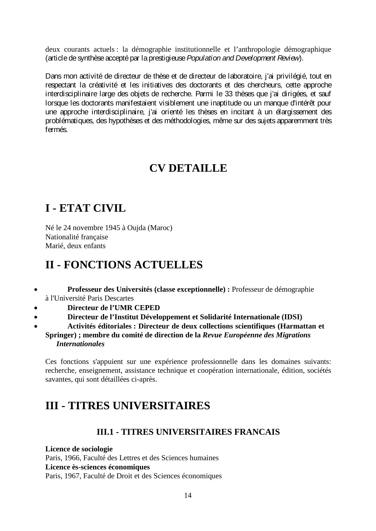deux courants actuels : la démographie institutionnelle et l'anthropologie démographique (article de synthèse accepté par la prestigieuse *Population and Development Review*).

Dans mon activité de directeur de thèse et de directeur de laboratoire, j'ai privilégié, tout en respectant la créativité et les initiatives des doctorants et des chercheurs, cette approche interdisciplinaire large des objets de recherche. Parmi le 33 thèses que j'ai dirigées, et sauf lorsque les doctorants manifestaient visiblement une inaptitude ou un manque d'intérêt pour une approche interdisciplinaire, j'ai orienté les thèses en incitant à un élargissement des problématiques, des hypothèses et des méthodologies, même sur des sujets apparemment très fermés.

# **CV DETAILLE**

# **I - ETAT CIVIL**

Né le 24 novembre 1945 à Oujda (Maroc) Nationalité française Marié, deux enfants

# **II - FONCTIONS ACTUELLES**

- **Professeur des Universités (classe exceptionnelle) :** Professeur de démographie à l'Université Paris Descartes
- **Directeur de l'UMR CEPED**
- **Directeur de l'Institut Développement et Solidarité Internationale (IDSI)**
- **Activités éditoriales : Directeur de deux collections scientifiques (Harmattan et Springer) ; membre du comité de direction de la** *Revue Européenne des Migrations Internationales*

Ces fonctions s'appuient sur une expérience professionnelle dans les domaines suivants: recherche, enseignement, assistance technique et coopération internationale, édition, sociétés savantes, qui sont détaillées ci-après.

# **III - TITRES UNIVERSITAIRES**

## **III.1 - TITRES UNIVERSITAIRES FRANCAIS**

**Licence de sociologie** Paris, 1966, Faculté des Lettres et des Sciences humaines **Licence ès-sciences économiques** Paris, 1967, Faculté de Droit et des Sciences économiques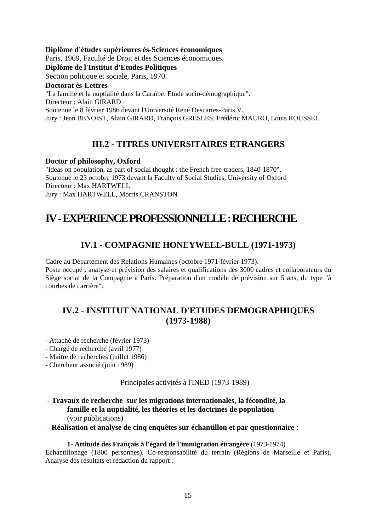#### **Diplôme d'études supérieures ès-Sciences économiques**

Paris, 1969, Faculté de Droit et des Sciences économiques.

**Diplôme de l'Institut d'Etudes Politiques** 

Section politique et sociale, Paris, 1970.

#### **Doctorat ès-Lettres**

"La famille et la nuptialité dans la Caraïbe. Etude socio-démographique".

Directeur : Alain GIRARD

Soutenue le 8 février 1986 devant l'Université René Descartes-Paris V.

Jury : Jean BENOIST, Alain GIRARD, François GRESLES, Frédéric MAURO, Louis ROUSSEL

## **III.2 - TITRES UNIVERSITAIRES ETRANGERS**

#### **Doctor of philosophy, Oxford**

"Ideas on population, as part of social thought : the French free-traders, 1840-1870". Soutenue le 23 octobre 1973 devant la Faculty of Social Studies, University of Oxford Directeur : Max HARTWELL Jury : Max HARTWELL, Morris CRANSTON

## **IV -EXPERIENCE PROFESSIONNELLE : RECHERCHE**

## **IV.1 - COMPAGNIE HONEYWELL-BULL (1971-1973)**

Cadre au Département des Relations Humaines (octobre 1971-février 1973). Poste occupé : analyse et prévision des salaires et qualifications des 3000 cadres et collaborateurs du Siège social de la Compagnie à Paris. Préparation d'un modèle de prévision sur 5 ans, du type "à courbes de carrière".

## **IV.2 - INSTITUT NATIONAL D'ETUDES DEMOGRAPHIQUES (1973-1988)**

- Attaché de recherche (février 1973)
- Chargé de recherche (avril 1977)
- Maître de recherches (juillet 1986)
- Chercheur associé (juin 1989)

Principales activités à l'INED (1973-1989)

**- Travaux de recherche sur les migrations internationales, la fécondité, la famille et la nuptialité, les théories et les doctrines de population**  (voir publications)

**- Réalisation et analyse de cinq enquêtes sur échantillon et par questionnaire :** 

#### **1- Attitude des Français à l'égard de l'immigration étrangère** (1973-1974)

Echantillonage (1800 personnes). Co-responsabilité du terrain (Régions de Marseille et Paris). Analyse des résultats et rédaction du rapport .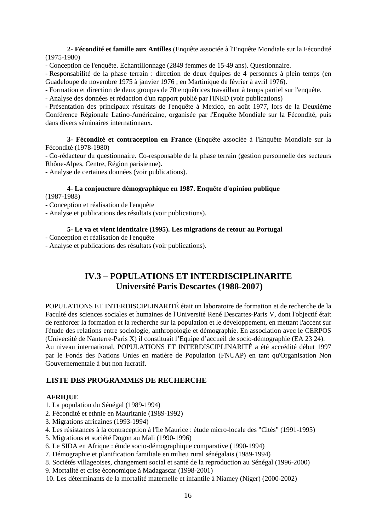**2- Fécondité et famille aux Antilles** (Enquête associée à l'Enquête Mondiale sur la Fécondité (1975-1980)

- Conception de l'enquête. Echantillonnage (2849 femmes de 15-49 ans). Questionnaire.

- Responsabilité de la phase terrain : direction de deux équipes de 4 personnes à plein temps (en Guadeloupe de novembre 1975 à janvier 1976 ; en Martinique de février à avril 1976).

- Formation et direction de deux groupes de 70 enquêtrices travaillant à temps partiel sur l'enquête.

- Analyse des données et rédaction d'un rapport publié par l'INED (voir publications)

- Présentation des principaux résultats de l'enquête à Mexico, en août 1977, lors de la Deuxième Conférence Régionale Latino-Américaine, organisée par l'Enquête Mondiale sur la Fécondité, puis dans divers séminaires internationaux.

**3- Fécondité et contraception en France** (Enquête associée à l'Enquête Mondiale sur la Fécondité (1978-1980)

- Co-rédacteur du questionnaire. Co-responsable de la phase terrain (gestion personnelle des secteurs Rhône-Alpes, Centre, Région parisienne).

- Analyse de certaines données (voir publications).

#### **4- La conjoncture démographique en 1987. Enquête d'opinion publique**

(1987-1988)

- Conception et réalisation de l'enquête

- Analyse et publications des résultats (voir publications).

#### **5- Le va et vient identitaire (1995). Les migrations de retour au Portugal**

- Conception et réalisation de l'enquête

- Analyse et publications des résultats (voir publications).

## **IV.3 – POPULATIONS ET INTERDISCIPLINARITE Université Paris Descartes (1988-2007)**

POPULATIONS ET INTERDISCIPLINARITÉ était un laboratoire de formation et de recherche de la Faculté des sciences sociales et humaines de l'Université René Descartes-Paris V, dont l'objectif était de renforcer la formation et la recherche sur la population et le développement, en mettant l'accent sur l'étude des relations entre sociologie, anthropologie et démographie. En association avec le CERPOS (Université de Nanterre-Paris X) il constituait l'Equipe d'accueil de socio-démographie (EA 23 24). Au niveau international, POPULATIONS ET INTERDISCIPLINARITÉ a été accrédité début 1997 par le Fonds des Nations Unies en matière de Population (FNUAP) en tant qu'Organisation Non Gouvernementale à but non lucratif.

#### **LISTE DES PROGRAMMES DE RECHERCHE**

#### **AFRIQUE**

- 1. La population du Sénégal (1989-1994)
- 2. Fécondité et ethnie en Mauritanie (1989-1992)
- 3. Migrations africaines (1993-1994)
- 4. Les résistances à la contraception à l'Ile Maurice : étude micro-locale des "Cités" (1991-1995)
- 5. Migrations et société Dogon au Mali (1990-1996)
- 6. Le SIDA en Afrique : étude socio-démographique comparative (1990-1994)
- 7. Démographie et planification familiale en milieu rural sénégalais (1989-1994)
- 8. Sociétés villageoises, changement social et santé de la reproduction au Sénégal (1996-2000)
- 9. Mortalité et crise économique à Madagascar (1998-2001)
- 10. Les déterminants de la mortalité maternelle et infantile à Niamey (Niger) (2000-2002)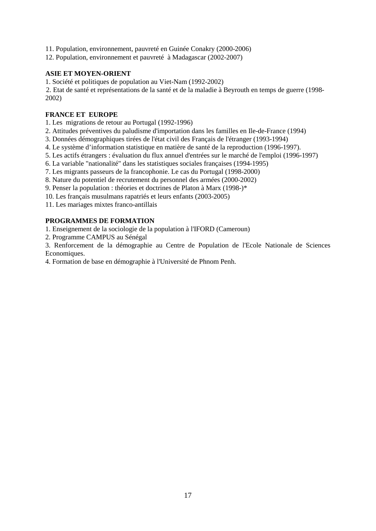11. Population, environnement, pauvreté en Guinée Conakry (2000-2006)

12. Population, environnement et pauvreté à Madagascar (2002-2007)

#### **ASIE ET MOYEN-ORIENT**

1. Société et politiques de population au Viet-Nam (1992-2002)

2. Etat de santé et représentations de la santé et de la maladie à Beyrouth en temps de guerre (1998- 2002)

#### **FRANCE ET EUROPE**

1. Les migrations de retour au Portugal (1992-1996)

2. Attitudes préventives du paludisme d'importation dans les familles en Ile-de-France (1994)

3. Données démographiques tirées de l'état civil des Français de l'étranger (1993-1994)

4. Le système d'information statistique en matière de santé de la reproduction (1996-1997).

5. Les actifs étrangers : évaluation du flux annuel d'entrées sur le marché de l'emploi (1996-1997)

6. La variable "nationalité" dans les statistiques sociales françaises (1994-1995)

7. Les migrants passeurs de la francophonie. Le cas du Portugal (1998-2000)

8. Nature du potentiel de recrutement du personnel des armées (2000-2002)

9. Penser la population : théories et doctrines de Platon à Marx (1998-)\*

10. Les français musulmans rapatriés et leurs enfants (2003-2005)

11. Les mariages mixtes franco-antillais

#### **PROGRAMMES DE FORMATION**

1. Enseignement de la sociologie de la population à l'IFORD (Cameroun)

2. Programme CAMPUS au Sénégal

3. Renforcement de la démographie au Centre de Population de l'Ecole Nationale de Sciences Economiques.

4. Formation de base en démographie à l'Université de Phnom Penh.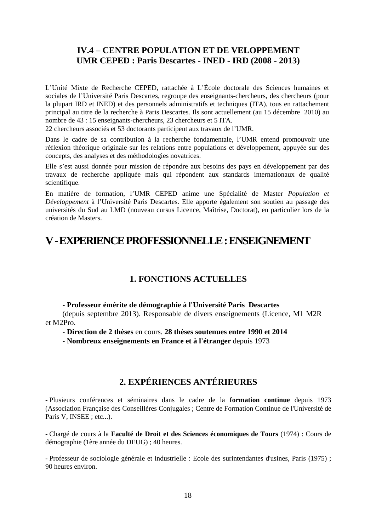## **IV.4 – CENTRE POPULATION ET DE VELOPPEMENT UMR CEPED : Paris Descartes - INED - IRD (2008 - 2013)**

L'Unité Mixte de Recherche CEPED, rattachée à L'École doctorale des Sciences humaines et sociales de l'Université Paris Descartes, regroupe des enseignants-chercheurs, des chercheurs (pour la plupart IRD et INED) et des personnels administratifs et techniques (ITA), tous en rattachement principal au titre de la recherche à Paris Descartes. Ils sont actuellement (au 15 décembre 2010) au nombre de 43 : 15 enseignants-chercheurs, 23 chercheurs et 5 ITA.

22 chercheurs associés et 53 doctorants participent aux travaux de l'UMR.

Dans le cadre de sa contribution à la recherche fondamentale, l'UMR entend promouvoir une réflexion théorique originale sur les relations entre populations et développement, appuyée sur des concepts, des analyses et des méthodologies novatrices.

Elle s'est aussi donnée pour mission de répondre aux besoins des pays en développement par des travaux de recherche appliquée mais qui répondent aux standards internationaux de qualité scientifique.

En matière de formation, l'UMR CEPED anime une Spécialité de Master *Population et Développement* à l'Université Paris Descartes. Elle apporte également son soutien au passage des universités du Sud au LMD (nouveau cursus Licence, Maîtrise, Doctorat), en particulier lors de la création de Masters.

## **V -EXPERIENCE PROFESSIONNELLE : ENSEIGNEMENT**

## **1. FONCTIONS ACTUELLES**

#### **- Professeur émérite de démographie à l'Université Paris Descartes**

(depuis septembre 2013). Responsable de divers enseignements (Licence, M1 M2R et M2Pro.

- **Direction de 2 thèses** en cours. **28 thèses soutenues entre 1990 et 2014**

**- Nombreux enseignements en France et à l'étranger** depuis 1973

## **2. EXPÉRIENCES ANTÉRIEURES**

- Plusieurs conférences et séminaires dans le cadre de la **formation continue** depuis 1973 (Association Française des Conseillères Conjugales ; Centre de Formation Continue de l'Université de Paris V, INSEE ; etc...).

- Chargé de cours à la **Faculté de Droit et des Sciences économiques de Tours** (1974) : Cours de démographie (1ère année du DEUG) ; 40 heures.

- Professeur de sociologie générale et industrielle : Ecole des surintendantes d'usines, Paris (1975) ; 90 heures environ.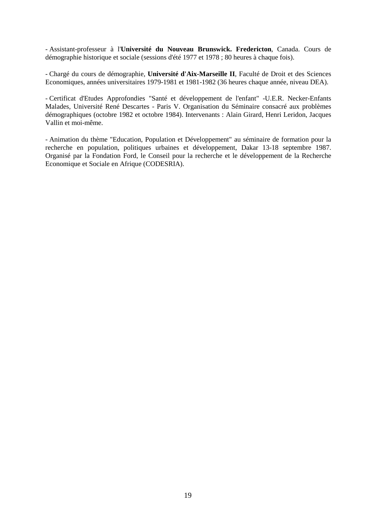- Assistant-professeur à l'**Université du Nouveau Brunswick. Fredericton**, Canada. Cours de démographie historique et sociale (sessions d'été 1977 et 1978 ; 80 heures à chaque fois).

- Chargé du cours de démographie, **Université d'Aix-Marseille II**, Faculté de Droit et des Sciences Economiques, années universitaires 1979-1981 et 1981-1982 (36 heures chaque année, niveau DEA).

- Certificat d'Etudes Approfondies "Santé et développement de l'enfant" -U.E.R. Necker-Enfants Malades, Université René Descartes - Paris V. Organisation du Séminaire consacré aux problèmes démographiques (octobre 1982 et octobre 1984). Intervenants : Alain Girard, Henri Leridon, Jacques Vallin et moi-même.

- Animation du thème "Education, Population et Développement" au séminaire de formation pour la recherche en population, politiques urbaines et développement, Dakar 13-18 septembre 1987. Organisé par la Fondation Ford, le Conseil pour la recherche et le développement de la Recherche Economique et Sociale en Afrique (CODESRIA).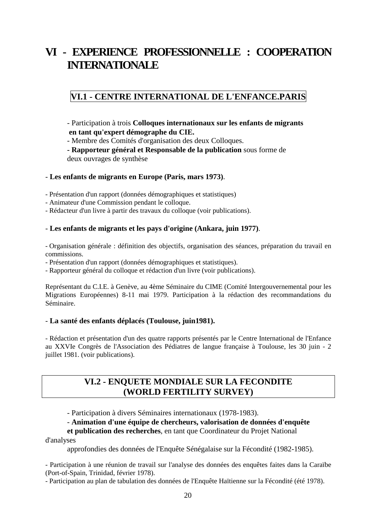# **VI - EXPERIENCE PROFESSIONNELLE : COOPERATION INTERNATIONALE**

## **VI.1 - CENTRE INTERNATIONAL DE L'ENFANCE.PARIS**

- Participation à trois **Colloques internationaux sur les enfants de migrants en tant qu'expert démographe du CIE.**

- Membre des Comités d'organisation des deux Colloques.

**- Rapporteur général et Responsable de la publication** sous forme de deux ouvrages de synthèse

#### - **Les enfants de migrants en Europe (Paris, mars 1973)**.

- Présentation d'un rapport (données démographiques et statistiques)
- Animateur d'une Commission pendant le colloque.
- Rédacteur d'un livre à partir des travaux du colloque (voir publications).

#### - **Les enfants de migrants et les pays d'origine (Ankara, juin 1977)**.

- Organisation générale : définition des objectifs, organisation des séances, préparation du travail en commissions.

- Présentation d'un rapport (données démographiques et statistiques).

- Rapporteur général du colloque et rédaction d'un livre (voir publications).

Représentant du C.I.E. à Genève, au 4ème Séminaire du CIME (Comité Intergouvernemental pour les Migrations Européennes) 8-11 mai 1979. Participation à la rédaction des recommandations du Séminaire.

#### - **La santé des enfants déplacés (Toulouse, juin1981).**

- Rédaction et présentation d'un des quatre rapports présentés par le Centre International de l'Enfance au XXVIe Congrès de l'Association des Pédiatres de langue française à Toulouse, les 30 juin - 2 juillet 1981. (voir publications).

## **VI.2 - ENQUETE MONDIALE SUR LA FECONDITE (WORLD FERTILITY SURVEY)**

- Participation à divers Séminaires internationaux (1978-1983).

- **Animation d'une équipe de chercheurs, valorisation de données d'enquête** 

#### **et publication des recherches**, en tant que Coordinateur du Projet National d'analyses

approfondies des données de l'Enquête Sénégalaise sur la Fécondité (1982-1985).

- Participation à une réunion de travail sur l'analyse des données des enquêtes faites dans la Caraïbe (Port-of-Spain, Trinidad, février 1978).

- Participation au plan de tabulation des données de l'Enquête Haïtienne sur la Fécondité (été 1978).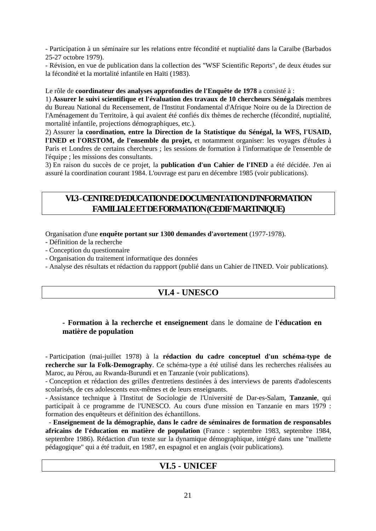- Participation à un séminaire sur les relations entre fécondité et nuptialité dans la Caraïbe (Barbados 25-27 octobre 1979).

- Révision, en vue de publication dans la collection des "WSF Scientific Reports", de deux études sur la fécondité et la mortalité infantile en Haïti (1983).

#### Le rôle de **coordinateur des analyses approfondies de l'Enquête de 1978** a consisté à :

1) **Assurer le suivi scientifique et l'évaluation des travaux de 10 chercheurs Sénégalais** membres du Bureau National du Recensement, de l'Institut Fondamental d'Afrique Noire ou de la Direction de l'Aménagement du Territoire, à qui avaient été confiés dix thèmes de recherche (fécondité, nuptialité, mortalité infantile, projections démographiques, etc.).

2) Assurer l**a coordination, entre la Direction de la Statistique du Sénégal, la WFS, l'USAID, l'INED et l'ORSTOM, de l'ensemble du projet,** et notamment organiser: les voyages d'études à Paris et Londres de certains chercheurs ; les sessions de formation à l'informatique de l'ensemble de l'équipe ; les missions des consultants.

3) En raison du succès de ce projet, la **publication d'un Cahier de l'INED** a été décidée. J'en ai assuré la coordination courant 1984. L'ouvrage est paru en décembre 1985 (voir publications).

## **VI.3 -CENTRE D'EDUCATION DE DOCUMENTATION D'INFORMATION FAMILIALE ET DE FORMATION (CEDIF MARTINIQUE)**

Organisation d'une **enquête portant sur 1300 demandes d'avortement** (1977-1978).

- Définition de la recherche
- Conception du questionnaire
- Organisation du traitement informatique des données

- Analyse des résultats et rédaction du rappport (publié dans un Cahier de l'INED. Voir publications).

## **VI.4 - UNESCO**

#### **- Formation à la recherche et enseignement** dans le domaine de **l'éducation en matière de population**

- Participation (mai-juillet 1978) à la **rédaction du cadre conceptuel d'un schéma-type de recherche sur la Folk-Demography**. Ce schéma-type a été utilisé dans les recherches réalisées au Maroc, au Pérou, au Rwanda-Burundi et en Tanzanie (voir publications).

- Conception et rédaction des grilles d'entretiens destinées à des interviews de parents d'adolescents scolarisés, de ces adolescents eux-mêmes et de leurs enseignants.

- Assistance technique à l'Institut de Sociologie de l'Université de Dar-es-Salam, **Tanzanie**, qui participait à ce programme de l'UNESCO. Au cours d'une mission en Tanzanie en mars 1979 : formation des enquêteurs et définition des échantillons.

 - **Enseignement de la démographie, dans le cadre de séminaires de formation de responsables africains de l'éducation en matière de population** (France : septembre 1983, septembre 1984, septembre 1986). Rédaction d'un texte sur la dynamique démographique, intégré dans une "mallette pédagogique" qui a été traduit, en 1987, en espagnol et en anglais (voir publications).

#### **VI.5 - UNICEF**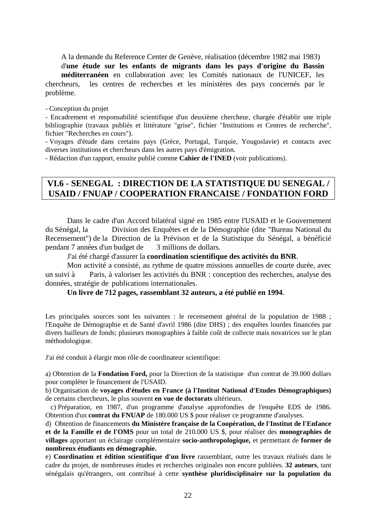A la demande du Reference Center de Genève, réalisation (décembre 1982 mai 1983)

d'**une étude sur les enfants de migrants dans les pays d'origine du Bassin méditerranéen** en collaboration avec les Comités nationaux de l'UNICEF, les chercheurs, les centres de recherches et les ministères des pays concernés par le problème.

- Conception du projet

- Encadrement et responsabilité scientifique d'un deuxième chercheur, chargée d'établir une triple bibliographie (travaux publiés et littérature "grise", fichier "Institutions et Centres de recherche", fichier "Recherches en cours").

- Voyages d'étude dans certains pays (Grèce, Portugal, Turquie, Yougoslavie) et contacts avec diverses institutions et chercheurs dans les autres pays d'émigration.

- Rédaction d'un rapport, ensuite publié comme **Cahier de l'INED** (voir publications).

## **VI.6 - SENEGAL : DIRECTION DE LA STATISTIQUE DU SENEGAL / USAID / FNUAP / COOPERATION FRANCAISE / FONDATION FORD**

Dans le cadre d'un Accord bilatéral signé en 1985 entre l'USAID et le Gouvernement du Sénégal, la Division des Enquêtes et de la Démographie (dite "Bureau National du Recensement") de la Direction de la Prévison et de la Statistique du Sénégal, a bénéficié pendant 7 années d'un budget de 3 millions de dollars.

J'ai été chargé d'assurer la **coordination scientifique des activités du BNR**.

Mon activité a consisté, au rythme de quatre missions annuelles de courte durée, avec un suivi à Paris, à valoriser les activités du BNR : conception des recherches, analyse des données, stratégie de publications internationales.

#### **Un livre de 712 pages, rassemblant 32 auteurs, a été publié en 1994**.

Les principales sources sont les suivantes : le recensement général de la population de 1988 ; l'Enquête de Démographie et de Santé d'avril 1986 (dite DHS) ; des enquêtes lourdes financées par divers bailleurs de fonds; plusieurs monographies à faible coût de collecte mais novatrices sur le plan méthodologique.

J'ai été conduit à élargir mon rôle de coordinateur scientifique:

a) Obtention de la **Fondation Ford,** pour la Direction de la statistique d'un contrat de 39.000 dollars pour complèter le financement de l'USAID.

b) Organisation de **voyages d'études en France (à l'Institut National d'Etudes Démographiques)** de certains chercheurs, le plus souvent **en vue de doctorats** ultérieurs.

 c) Préparation, en 1987, d'un programme d'analyse approfondies de l'enquête EDS de 1986. Obtention d'un **contrat du FNUAP** de 180.000 US \$ pour réaliser ce programme d'analyses.

d) Obtention de financements **du Ministère française de la Coopération, de l'Institut de l'Enfance et de la Famille et de l'OMS** pour un total de 210.000 US \$, pour réaliser des **monographies de villages** apportant un éclairage complémentaire **socio-anthropologique,** et permettant de **former de nombreux étudiants en démographie.**

e) **Coordination et édition scientifique d'un livre** rassemblant, outre les travaux réalisés dans le cadre du projet, de nombreuses études et recherches originales non encore publiées. **32 auteurs**, tant sénégalais qu'étrangers, ont contribué à cette **synthèse pluridisciplinaire sur la population du**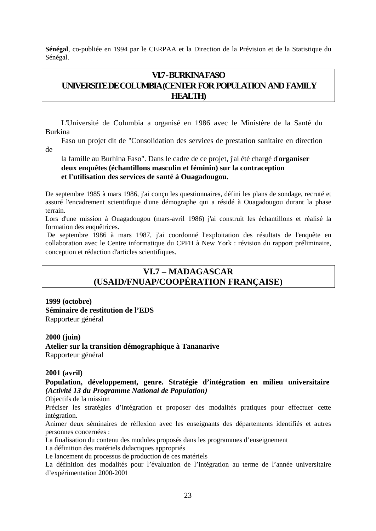**Sénégal**, co-publiée en 1994 par le CERPAA et la Direction de la Prévision et de la Statistique du Sénégal.

## **VI.7 -BURKINA FASO UNIVERSITE DE COLUMBIA(CENTER FOR POPULATION AND FAMILY HEALTH)**

L'Université de Columbia a organisé en 1986 avec le Ministère de la Santé du Burkina

Faso un projet dit de "Consolidation des services de prestation sanitaire en direction de

la famille au Burhina Faso". Dans le cadre de ce projet, j'ai été chargé d'**organiser deux enquêtes (échantillons masculin et féminin) sur la contraception et l'utilisation des services de santé à Ouagadougou.**

De septembre 1985 à mars 1986, j'ai conçu les questionnaires, défini les plans de sondage, recruté et assuré l'encadrement scientifique d'une démographe qui a résidé à Ouagadougou durant la phase terrain.

Lors d'une mission à Ouagadougou (mars-avril 1986) j'ai construit les échantillons et réalisé la formation des enquêtrices.

De septembre 1986 à mars 1987, j'ai coordonné l'exploitation des résultats de l'enquête en collaboration avec le Centre informatique du CPFH à New York : révision du rapport préliminaire, conception et rédaction d'articles scientifiques.

## **VI.7 – MADAGASCAR (USAID/FNUAP/COOPÉRATION FRANÇAISE)**

**1999 (octobre) Séminaire de restitution de l'EDS**  Rapporteur général

**2000 (juin) Atelier sur la transition démographique à Tananarive** Rapporteur général

#### **2001 (avril)**

**Population, développement, genre. Stratégie d'intégration en milieu universitaire**  *(Activité 13 du Programme National de Population)*

Objectifs de la mission

Préciser les stratégies d'intégration et proposer des modalités pratiques pour effectuer cette intégration.

Animer deux séminaires de réflexion avec les enseignants des départements identifiés et autres personnes concernées :

La finalisation du contenu des modules proposés dans les programmes d'enseignement

La définition des matériels didactiques appropriés

Le lancement du processus de production de ces matériels

La définition des modalités pour l'évaluation de l'intégration au terme de l'année universitaire d'expérimentation 2000-2001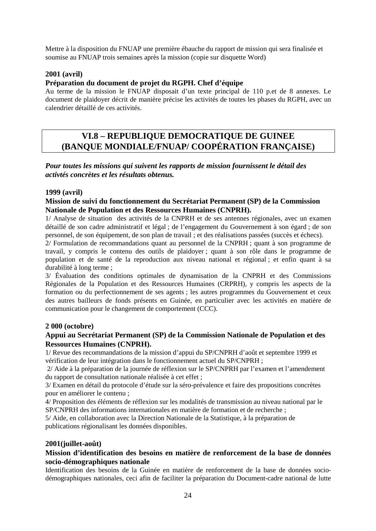Mettre à la disposition du FNUAP une première ébauche du rapport de mission qui sera finalisée et soumise au FNUAP trois semaines après la mission (copie sur disquette Word)

#### **2001 (avril)**

#### **Préparation du document de projet du RGPH. Chef d'équipe**

Au terme de la mission le FNUAP disposait d'un texte principal de 110 p.et de 8 annexes. Le document de plaidoyer décrit de manière précise les activités de toutes les phases du RGPH, avec un calendrier détaillé de ces activités.

## **VI.8 – REPUBLIQUE DEMOCRATIQUE DE GUINEE (BANQUE MONDIALE/FNUAP/ COOPÉRATION FRANÇAISE)**

*Pour toutes les missions qui suivent les rapports de mission fournissent le détail des activtés concrètes et les résultats obtenus.* 

#### **1999 (avril)**

#### **Mission de suivi du fonctionnement du Secrétariat Permanent (SP) de la Commission Nationale de Population et des Ressources Humaines (CNPRH).**

1/ Analyse de situation des activités de la CNPRH et de ses antennes régionales, avec un examen détaillé de son cadre administratif et légal ; de l'engagement du Gouvernement à son égard ; de son personnel, de son équipement, de son plan de travail ; et des réalisations passées (succès et échecs).

2/ Formulation de recommandations quant au personnel de la CNPRH ; quant à son programme de travail, y compris le contenu des outils de plaidoyer ; quant à son rôle dans le programme de population et de santé de la reproduction aux niveau national et régional ; et enfin quant à sa durabilité à long terme ;

3/ Évaluation des conditions optimales de dynamisation de la CNPRH et des Commissions Régionales de la Population et des Ressources Humaines (CRPRH), y compris les aspects de la formation ou du perfectionnement de ses agents ; les autres programmes du Gouvernement et ceux des autres bailleurs de fonds présents en Guinée, en particulier avec les activités en matière de communication pour le changement de comportement (CCC).

#### **2 000 (octobre)**

#### **Appui au Secrétariat Permanent (SP) de la Commission Nationale de Population et des Ressources Humaines (CNPRH).**

1/ Revue des recommandations de la mission d'appui du SP/CNPRH d'août et septembre 1999 et vérification de leur intégration dans le fonctionnement actuel du SP/CNPRH ;

2/ Aide à la préparation de la journée de réflexion sur le SP/CNPRH par l'examen et l'amendement du rapport de consultation nationale réalisée à cet effet ;

3/ Examen en détail du protocole d'étude sur la séro-prévalence et faire des propositions concrètes pour en améliorer le contenu ;

4/ Proposition des éléments de réflexion sur les modalités de transmission au niveau national par le SP/CNPRH des informations internationales en matière de formation et de recherche ;

5/ Aide, en collaboration avec la Direction Nationale de la Statistique, à la préparation de publications régionalisant les données disponibles.

#### **2001(juillet-août)**

#### **Mission d'identification des besoins en matière de renforcement de la base de données socio-démographiques nationale**

Identification des besoins de la Guinée en matière de renforcement de la base de données sociodémographiques nationales, ceci afin de faciliter la préparation du Document-cadre national de lutte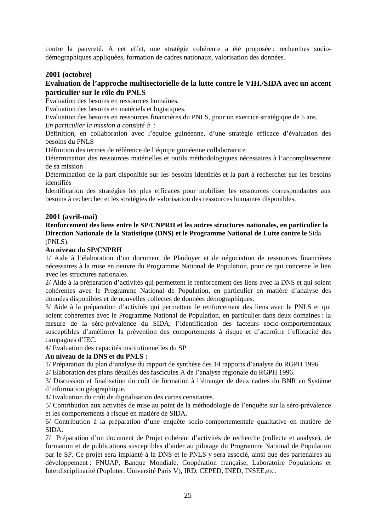contre la pauvreté. A cet effet, une stratégie cohérente a été proposée : recherches sociodémographiques appliquées, formation de cadres nationaux, valorisation des données.

#### **2001 (octobre)**

#### **Evaluation de l'approche multisectorielle de la lutte contre le VIH./SIDA avec un accent particulier sur le rôle du PNLS**

Evaluation des besoins en ressources humaines.

Evaluation des besoins en matériels et logistiques.

Evaluation des besoins en ressources financières du PNLS, pour un exercice stratégique de 5 ans.

*En particulier la mission a consisté à :* 

Définition, en collaboration avec l'équipe guinéenne, d'une stratégie efficace d'évaluation des besoins du PNLS

Définition des termes de référence de l'équipe guinéenne collaboratrice

Détermination des ressources matérielles et outils méthodologiques nécessaires à l'accomplissement de sa mission

Détermination de la part disponible sur les besoins identifiés et la part à rechercher sur les besoins identifiés

Identification des stratégies les plus efficaces pour mobiliser les ressources correspondantes aux besoins à rechercher et les stratégies de valorisation des ressources humaines disponibles.

#### **2001 (avril-mai)**

**Renforcement des liens entre le SP/CNPRH et les autres structures nationales, en particulier la Direction Nationale de la Statistique (DNS) et le Programme National de Lutte contre le** Sida (PNLS).

#### **Au niveau du SP/CNPRH**

1/ Aide à l'élaboration d'un document de Plaidoyer et de négociation de ressources financières nécessaires à la mise en oeuvre du Programme National de Population, pour ce qui concerne le lien avec les structures nationales.

2/ Aide à la préparation d'activités qui permettent le renforcement des liens avec la DNS et qui soient cohérentes avec le Programme National de Population, en particulier en matière d'analyse des données disponibles et de nouvelles collectes de données démographiques.

3/ Aide à la préparation d'activités qui permettent le renforcement des liens avec le PNLS et qui soient cohérentes avec le Programme National de Population, en particulier dans deux domaines : la mesure de la séro-prévalence du SIDA, l'identification des facteurs socio-comportementaux susceptibles d'améliorer la prévention des comportements à risque et d'accroître l'efficacité des campagnes d'IEC.

4/ Evaluation des capacités institutionnelles du SP

#### **Au niveau de la DNS et du PNLS :**

1/ Préparation du plan d'analyse du rapport de synthèse des 14 rapports d'analyse du RGPH 1996.

2/ Elaboration des plans détaillés des fascicules A de l'analyse régionale du RGPH 1996.

3/ Discussion et finalisation du coût de formation à l'étranger de deux cadres du BNR en Système d'information géographique.

4/ Evaluation du coût de digitalisation des cartes censitaires.

5/ Contribution aux activités de mise au point de la méthodologie de l'enquête sur la séro-prévalence et les comportements à risque en matière de SIDA.

6/ Contribution à la préparation d'une enquête socio-comportementale qualitative en matière de SIDA.

7/ Préparation d'un document de Projet cohérent d'activités de recherche (collecte et analyse), de formation et de publications susceptibles d'aider au pilotage du Programme National de Population par le SP. Ce projet sera implanté à la DNS et le PNLS y sera associé, ainsi que des partenaires au développement : FNUAP, Banque Mondiale, Coopération française, Laboratoire Populations et Interdisciplinarité (PopInter, Université Paris V), IRD, CEPED, INED, INSEE,etc.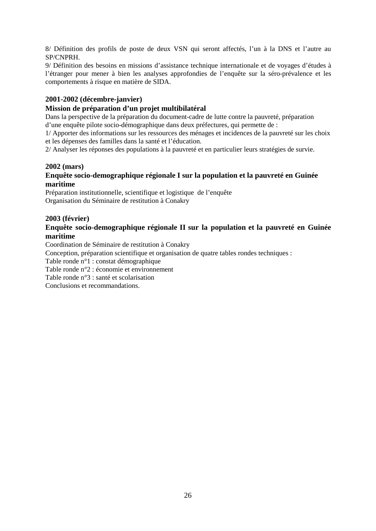8/ Définition des profils de poste de deux VSN qui seront affectés, l'un à la DNS et l'autre au SP/CNPRH.

9/ Définition des besoins en missions d'assistance technique internationale et de voyages d'études à l'étranger pour mener à bien les analyses approfondies de l'enquête sur la séro-prévalence et les comportements à risque en matière de SIDA.

#### **2001-2002 (décembre-janvier)**

#### **Mission de préparation d'un projet multibilatéral**

Dans la perspective de la préparation du document-cadre de lutte contre la pauvreté, préparation d'une enquête pilote socio-démographique dans deux préfectures, qui permette de :

1/ Apporter des informations sur les ressources des ménages et incidences de la pauvreté sur les choix et les dépenses des familles dans la santé et l'éducation.

2/ Analyser les réponses des populations à la pauvreté et en particulier leurs stratégies de survie.

#### **2002 (mars)**

#### **Enquête socio-demographique régionale I sur la population et la pauvreté en Guinée maritime**

Préparation institutionnelle, scientifique et logistique de l'enquête Organisation du Séminaire de restitution à Conakry

#### **2003 (février)**

#### **Enquête socio-demographique régionale II sur la population et la pauvreté en Guinée maritime**

Coordination de Séminaire de restitution à Conakry

Conception, préparation scientifique et organisation de quatre tables rondes techniques :

Table ronde n°1 : constat démographique

Table ronde n°2 : économie et environnement

Table ronde n°3 : santé et scolarisation

Conclusions et recommandations.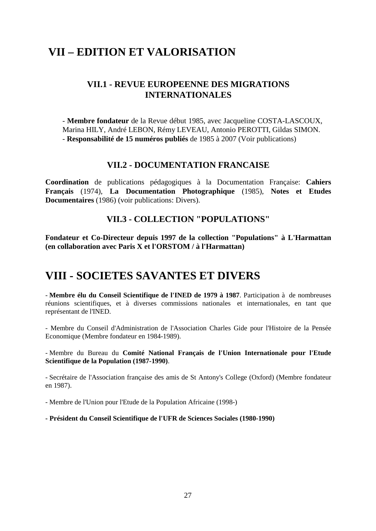## **VII – EDITION ET VALORISATION**

## **VII.1 - REVUE EUROPEENNE DES MIGRATIONS INTERNATIONALES**

- **Membre fondateur** de la Revue début 1985, avec Jacqueline COSTA-LASCOUX, Marina HILY, André LEBON, Rémy LEVEAU, Antonio PEROTTI, Gildas SIMON. - **Responsabilité de 15 numéros publiés** de 1985 à 2007 (Voir publications)

#### **VII.2 - DOCUMENTATION FRANCAISE**

**Coordination** de publications pédagogiques à la Documentation Française: **Cahiers Français** (1974), **La Documentation Photographique** (1985), **Notes et Etudes Documentaires** (1986) (voir publications: Divers).

## **VII.3 - COLLECTION "POPULATIONS"**

**Fondateur et Co-Directeur depuis 1997 de la collection "Populations" à L'Harmattan (en collaboration avec Paris X et l'ORSTOM / à l'Harmattan)**

## **VIII - SOCIETES SAVANTES ET DIVERS**

- **Membre élu du Conseil Scientifique de l'INED de 1979 à 1987**. Participation à de nombreuses réunions scientifiques, et à diverses commissions nationales et internationales, en tant que représentant de l'INED.

- Membre du Conseil d'Administration de l'Association Charles Gide pour l'Histoire de la Pensée Economique (Membre fondateur en 1984-1989).

- Membre du Bureau du **Comité National Français de l'Union Internationale pour l'Etude Scientifique de la Population (1987-1990)**.

- Secrétaire de l'Association française des amis de St Antony's College (Oxford) (Membre fondateur en 1987).

- Membre de l'Union pour l'Etude de la Population Africaine (1998-)

**- Président du Conseil Scientifique de l'UFR de Sciences Sociales (1980-1990)**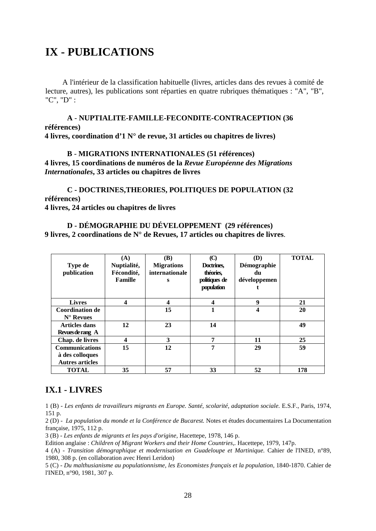# **IX - PUBLICATIONS**

A l'intérieur de la classification habituelle (livres, articles dans des revues à comité de lecture, autres), les publications sont réparties en quatre rubriques thématiques : "A", "B", "C", "D" :

**A** - **NUPTIALITE-FAMILLE-FECONDITE-CONTRACEPTION (36 références) 4 livres, coordination d'1 N° de revue, 31 articles ou chapitres de livres)** 

## **B** - **MIGRATIONS INTERNATIONALES (51 références)**

**4 livres, 15 coordinations de numéros de la** *Revue Européenne des Migrations Internationales***, 33 articles ou chapitres de livres** 

**C - DOCTRINES,THEORIES, POLITIQUES DE POPULATION (32 références) 4 livres, 24 articles ou chapitres de livres** 

**D - DÉMOGRAPHIE DU DÉVELOPPEMENT (29 références) 9 livres, 2 coordinations de N° de Revues, 17 articles ou chapitres de livres**.

| Type de<br>publication                                             | (A)<br>Nuptialité,<br>Fécondité,<br>Famille | (B)<br><b>Migrations</b><br>internationale<br>s | $\rm (C)$<br>Doctrines,<br>théories,<br>politiques de<br>population | (D)<br>Démographie<br>du<br>développemen | <b>TOTAL</b> |
|--------------------------------------------------------------------|---------------------------------------------|-------------------------------------------------|---------------------------------------------------------------------|------------------------------------------|--------------|
| <b>Livres</b>                                                      | $\overline{\mathbf{4}}$                     | 4                                               | $\boldsymbol{4}$                                                    | 9                                        | 21           |
| <b>Coordination de</b><br>$N^{\circ}$ Revues                       |                                             | 15                                              | 1                                                                   | 4                                        | 20           |
| <b>Articles dans</b><br>Revues de rang A                           | 12                                          | 23                                              | 14                                                                  |                                          | 49           |
| Chap. de livres                                                    | $\overline{\mathbf{4}}$                     | 3                                               | 7                                                                   | 11                                       | 25           |
| <b>Communications</b><br>à des colloques<br><b>Autres articles</b> | 15                                          | 12                                              | 7                                                                   | 29                                       | 59           |
| <b>TOTAL</b>                                                       | 35                                          | 57                                              | 33                                                                  | 52                                       | 178          |

## **IX.1 - LIVRES**

1 (B) - *Les enfants de travailleurs migrants en Europe. Santé, scolarité, adaptation sociale.* E.S.F., Paris, 1974, 151 p.

2 (D) - *La population du monde et la Conférence de Bucarest.* Notes et études documentaires La Documentation française, 1975, 112 p.

3 (B) - *Les enfants de migrants et les pays d'origine,* Hacettepe, 1978, 146 p.

Edition anglaise : *Children of Migrant Workers and their Home Countries,.* Hacettepe, 1979, 147p.

4 (A) - *Transition démographique et modernisation en Guadeloupe et Martinique.* Cahier de l'INED, n°89, 1980, 308 p. (en collaboration avec Henri Leridon)

5 (C) - *Du malthusianisme au populationnisme, les Economistes français et la population,* 1840-1870. Cahier de l'INED, n°90, 1981, 307 p.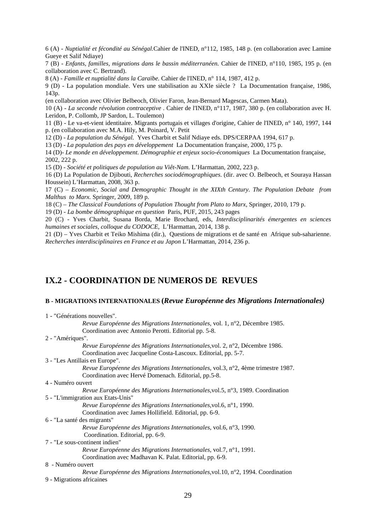6 (A) *- Nuptialité et fécondité au Sénégal.*Cahier de l'INED, n°112, 1985, 148 p. (en collaboration avec Lamine Gueye et Salif Ndiaye)

7 (B) - *Enfants, familles, migrations dans le bassin méditerranéen.* Cahier de l'INED, n°110, 1985, 195 p. (en collaboration avec C. Bertrand).

8 (A) - *Famille et nuptialité dans la Caraïbe.* Cahier de l'INED, n° 114, 1987, 412 p.

9 (D) - La population mondiale. Vers une stabilisation au XXIe siècle ? La Documentation française, 1986, 143p.

(en collaboration avec Olivier Belbeoch, Olivier Faron, Jean-Bernard Magescas, Carmen Mata).

10 (A) - *La seconde révolution contraceptive* . Cahier de l'INED, n°117, 1987, 380 p. (en collaboration avec H. Leridon, P. Collomb, JP Sardon, L. Toulemon)

11 (B) - Le va-et-vient identitaire. Migrants portugais et villages d'origine, Cahier de l'INED, n° 140, 1997, 144 p. (en collaboration avec M.A. Hily, M. Poinard, V. Petit

12 (D) - *La population du Sénégal.* Yves Charbit et Salif Ndiaye eds. DPS/CERPAA 1994, 617 p.

13 (D) - *La population des pays en développement* La Documentation française, 2000, 175 p.

14 (D)- *Le monde en développement. Démographie et enjeux socio-économiques* La Documentation française, 2002, 222 p.

15 (D) - *Société et politiques de population au Viêt-Nam.* L'Harmattan, 2002, 223 p.

16 (D) La Population de Djibouti, *Recherches sociodémographiques*. (dir. avec O. Belbeoch, et Souraya Hassan Houssein) L'Harmattan, 2008, 363 p.

17 (C) – *Economic, Social and Demographic Thought in the XIXth Century. The Population Debate from Malthus to Marx.* Springer, 2009, 189 p.

18 (C) – *The Classical Foundations of Population Thought from Plato to Marx*, Springer, 2010, 179 p.

19 (D) - *La bombe démographique en question* Paris, PUF, 2015, 243 pages

20 (C) - Yves Charbit, Susana Borda, Marie Brochard, eds, *Interdisciplinarités émergentes en sciences humaines et sociales, colloque du CODOCE,* L'Harmattan, 2014, 138 p.

21 (D) – Yves Charbit et Teiko Mishima (dir.), Questions de migrations et de santé en Afrique sub-saharienne. *Recherches interdisciplinaires en France et au Japon* L'Harmattan, 2014, 236 p.

## **IX.2 - COORDINATION DE NUMEROS DE REVUES**

#### **B - MIGRATIONS INTERNATIONALES (***Revue Européenne des Migrations Internationales)*

| 1 - "Générations nouvelles".       |                                                                                             |
|------------------------------------|---------------------------------------------------------------------------------------------|
|                                    | Revue Européenne des Migrations Internationales, vol. 1, n°2, Décembre 1985.                |
|                                    | Coordination avec Antonio Perotti. Editorial pp. 5-8.                                       |
| 2 - "Amériques".                   |                                                                                             |
|                                    | Revue Européenne des Migrations Internationales, vol. 2, n°2, Décembre 1986.                |
|                                    | Coordination avec Jacqueline Costa-Lascoux. Editorial, pp. 5-7.                             |
| 3 - "Les Antillais en Europe".     |                                                                                             |
|                                    | Revue Européenne des Migrations Internationales, vol.3, $n^{\circ}2$ , 4ème trimestre 1987. |
|                                    | Coordination avec Hervé Domenach. Editorial, pp.5-8.                                        |
| 4 - Numéro ouvert                  |                                                                                             |
|                                    | Revue Européenne des Migrations Internationales, vol.5, $n^{\circ}3$ , 1989. Coordination   |
| 5 - "L'immigration aux Etats-Unis" |                                                                                             |
|                                    | Revue Européenne des Migrations Internationales, vol.6, n°1, 1990.                          |
|                                    | Coordination avec James Hollifield. Editorial, pp. 6-9.                                     |
| 6 - "La santé des migrants"        |                                                                                             |
|                                    | Revue Européenne des Migrations Internationales, vol.6, $n^{\circ}3$ , 1990.                |
|                                    | Coordination. Editorial, pp. 6-9.                                                           |
| 7 - "Le sous-continent indien"     |                                                                                             |
|                                    | Revue Européenne des Migrations Internationales, vol.7, $n^{\circ}1$ , 1991.                |
|                                    | Coordination avec Madhavan K. Palat. Editorial, pp. 6-9.                                    |
| 8 - Numéro ouvert                  |                                                                                             |
|                                    | Revue Européenne des Migrations Internationales, vol. 10, $n^{\circ}2$ , 1994. Coordination |
| 9 - Migrations africaines          |                                                                                             |
|                                    |                                                                                             |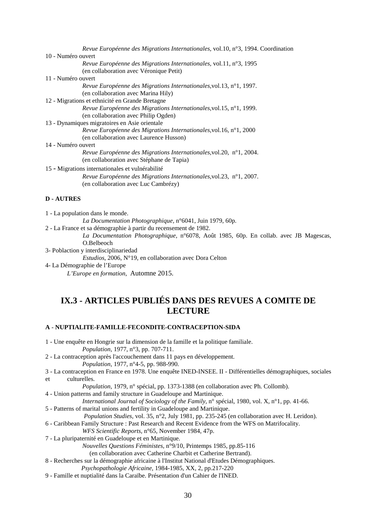| Revue Européenne des Migrations Internationales, vol.10, $n^{\circ}3$ , 1994. Coordination |
|--------------------------------------------------------------------------------------------|
| 10 - Numéro ouvert                                                                         |
| Revue Européenne des Migrations Internationales, vol.11, n°3, 1995                         |
| (en collaboration avec Véronique Petit)                                                    |
| 11 - Numéro ouvert                                                                         |
| Revue Européenne des Migrations Internationales, vol.13, n°1, 1997.                        |
| (en collaboration avec Marina Hily)                                                        |
| 12 - Migrations et ethnicité en Grande Bretagne                                            |
| Revue Européenne des Migrations Internationales, vol. 15, $n^{\circ}1$ , 1999.             |
| (en collaboration avec Philip Ogden)                                                       |
| 13 - Dynamiques migratoires en Asie orientale                                              |
| Revue Européenne des Migrations Internationales, vol. 16, $n^{\circ}1$ , 2000              |
| (en collaboration avec Laurence Husson)                                                    |
| 14 - Numéro ouvert                                                                         |
| Revue Européenne des Migrations Internationales, vol.20, n°1, 2004.                        |
| (en collaboration avec Stéphane de Tapia)                                                  |
| 15 - Migrations internationales et vulnérabilité                                           |
| Revue Européenne des Migrations Internationales, vol.23, n°1, 2007.                        |
| (en collaboration avec Luc Cambrézy)                                                       |
|                                                                                            |
| <b>D</b> - AUTRES                                                                          |
|                                                                                            |

1 - La population dans le monde.

*La Documentation Photographique,* n°6041, Juin 1979, 60p.

2 - La France et sa démographie à partir du recensement de 1982.

*La Documentation Photographique,* n°6078, Août 1985, 60p. En collab. avec JB Magescas, O.Belbeoch

3- Poblaction y interdisciplinariedad

*Estudios*, 2006, N°19, en collaboration avec Dora Celton

4- La Démographie de l'Europe *L'Europe en formation*, Automne 2015.

## **IX.3 - ARTICLES PUBLIÉS DANS DES REVUES A COMITE DE LECTURE**

#### **A** - **NUPTIALITE-FAMILLE-FECONDITE-CONTRACEPTION-SIDA**

- 1 Une enquête en Hongrie sur la dimension de la famille et la politique familiale. *Population,* 1977, n°3, pp. 707-711.
- 2 La contraception après l'accouchement dans 11 pays en développement.
	- *Population,* 1977, n°4-5, pp. 988-990.
- 3 La contraception en France en 1978. Une enquête INED-INSEE. II Différentielles démographiques, sociales et culturelles.
	- *Population,* 1979, n° spécial, pp. 1373-1388 (en collaboration avec Ph. Collomb).
- 4 Union patterns and family structure in Guadeloupe and Martinique.

*International Journal of Sociology of the Family,* n° spécial, 1980, vol. X, n°1, pp. 41-66.

5 - Patterns of marital unions and fertility in Guadeloupe and Martinique.

*Population Studies,* vol. 35, n°2, July 1981, pp. 235-245 (en collaboration avec H. Leridon).

6 - Caribbean Family Structure : Past Research and Recent Evidence from the WFS on Matrifocality.

*WFS Scientific Reports,* n°65, November 1984, 47p.

7 - La pluripaternité en Guadeloupe et en Martinique.

*Nouvelles Questions Féministes,* n°9/10, Printemps 1985, pp.85-116

(en collaboration avec Catherine Charbit et Catherine Bertrand).

- 8 Recherches sur la démographie africaine à l'Institut National d'Etudes Démographiques.
	- *Psychopathologie Africaine,* 1984-1985, XX, 2, pp.217-220
- 9 Famille et nuptialité dans la Caraïbe. Présentation d'un Cahier de l'INED.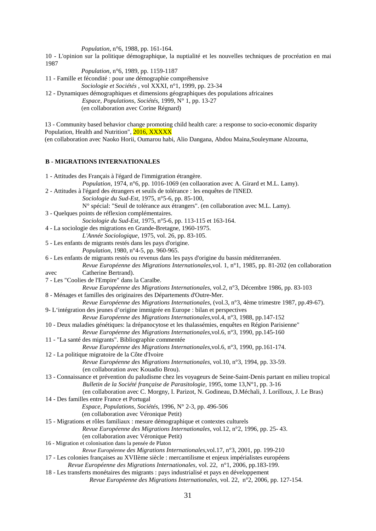*Population,* n°6, 1988, pp. 161-164.

10 - L'opinion sur la politique démographique, la nuptialité et les nouvelles techniques de procréation en mai 1987

*Population,* n°6, 1989, pp. 1159-1187

11 - Famille et fécondité : pour une démographie compréhensive

*Sociologie et Sociétés ,* vol XXXI, n°1, 1999, pp. 23-34

12 - Dynamiques démographiques et dimensions géographiques des populations africaines *Espace, Populations, Sociétés*, 1999, N° 1, pp. 13-27 (en collaboration avec Corine Régnard)

13 - Community based behavior change promoting child health care: a response to socio-economic disparity Population, Health and Nutrition", 2016, XXXXX

(en collaboration avec Naoko Horii, Oumarou habi, Alio Dangana, Abdou Maina,Souleymane Alzouma,

#### **B - MIGRATIONS INTERNATIONALES**

| 1 - Attitudes des Français à l'égard de l'immigration étrangère.                                                |
|-----------------------------------------------------------------------------------------------------------------|
| Population, 1974, n°6, pp. 1016-1069 (en collaoration avec A. Girard et M.L. Lamy).                             |
| 2 - Attitudes à l'égard des étrangers et seuils de tolérance : les enquêtes de l'INED.                          |
| Sociologie du Sud-Est, 1975, n°5-6, pp. 85-100,                                                                 |
| N° spécial: "Seuil de tolérance aux étrangers". (en collaboration avec M.L. Lamy).                              |
| 3 - Quelques points de réflexion complémentaires.                                                               |
| Sociologie du Sud-Est, 1975, n°5-6, pp. 113-115 et 163-164.                                                     |
| 4 - La sociologie des migrations en Grande-Bretagne, 1960-1975.                                                 |
| L'Année Sociologique, 1975, vol. 26, pp. 83-105.                                                                |
| 5 - Les enfants de migrants restés dans les pays d'origine.                                                     |
| Population, 1980, n°4-5, pp. 960-965.                                                                           |
| 6 - Les enfants de migrants restés ou revenus dans les pays d'origine du bassin méditerranéen.                  |
| Revue Européenne des Migrations Internationales, vol. 1, n°1, 1985, pp. 81-202 (en collaboration                |
| Catherine Bertrand).<br>avec                                                                                    |
| 7 - Les "Coolies de l'Empire" dans la Caraïbe.                                                                  |
| Revue Européenne des Migrations Internationales, vol.2, n°3, Décembre 1986, pp. 83-103                          |
| 8 - Ménages et familles des originaires des Départements d'Outre-Mer.                                           |
| Revue Européenne des Migrations Internationales, (vol.3, n°3, 4ème trimestre 1987, pp.49-67).                   |
| 9-L'intégration des jeunes d'origine immigrée en Europe : bilan et perspectives                                 |
| Revue Européenne des Migrations Internationales, vol.4, n°3, 1988, pp.147-152                                   |
| 10 - Deux maladies génétiques: la drépanocytose et les thalassémies, enquêtes en Région Parisienne"             |
| Revue Européenne des Migrations Internationales, vol.6, n°3, 1990, pp.145-160                                   |
| 11 - "La santé des migrants". Bibliographie commentée                                                           |
| Revue Européenne des Migrations Internationales, vol.6, n°3, 1990, pp.161-174.                                  |
| 12 - La politique migratoire de la Côte d'Ivoire                                                                |
| Revue Européenne des Migrations Internationales, vol.10, n°3, 1994, pp. 33-59.                                  |
| (en collaboration avec Kouadio Brou).                                                                           |
| 13 - Connaissance et prévention du paludisme chez les voyageurs de Seine-Saint-Denis partant en milieu tropical |
| Bulletin de la Société française de Parasitologie, 1995, tome 13, N°1, pp. 3-16                                 |
| (en collaboration avec C. Morgny, I. Parizot, N. Godineau, D. Méchali, J. Lorilloux, J. Le Bras)                |
| 14 - Des familles entre France et Portugal                                                                      |
| Espace, Populations, Sociétés, 1996, Nº 2-3, pp. 496-506                                                        |
| (en collaboration avec Véronique Petit)                                                                         |
| 15 - Migrations et rôles familiaux : mesure démographique et contextes culturels                                |
| Revue Européenne des Migrations Internationales, vol.12, n°2, 1996, pp. 25-43.                                  |
| (en collaboration avec Véronique Petit)                                                                         |
| 16 - Migration et colonisation dans la pensée de Platon                                                         |
| Revue Européenne des Migrations Internationales, vol.17, n°3, 2001, pp. 199-210                                 |
| 17 - Les colonies françaises au XVIIème siècle : mercantilisme et enjeux impérialistes européens                |
| Revue Européenne des Migrations Internationales, vol. 22, n°1, 2006, pp.183-199.                                |
| 18 - Les transferts monétaires des migrants : pays industrialisé et pays en développement                       |
| Revue Européenne des Migrations Internationales, vol. 22, n°2, 2006, pp. 127-154.                               |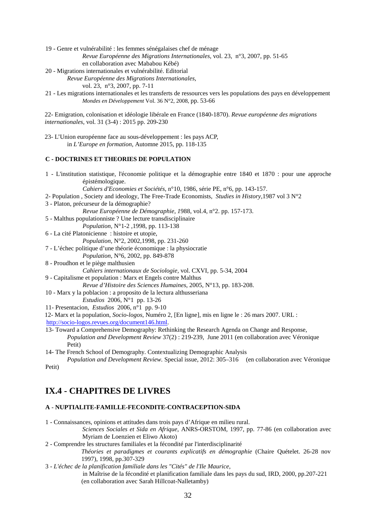- 19 Genre et vulnérabilité : les femmes sénégalaises chef de ménage *Revue Européenne des Migrations Internationales,* vol. 23, n°3, 2007, pp. 51-65 en collaboration avec Mababou Kébé)
- 20 Migrations internationales et vulnérabilité. Editorial

*Revue Européenne des Migrations Internationales,* 

vol. 23, n°3, 2007, pp. 7-11

21 - Les migrations internationales et les transferts de ressources vers les populations des pays en développement *Mondes en Développement* Vol. 36 N°2, 2008, pp. 53-66

22- Emigration, colonisation et idéologie libérale en France (1840-1870). *Revue européenne des migrations internationales*, vol. 31 (3-4) : 2015 pp. 209-230

23- L'Union européenne face au sous-développement : les pays ACP, in *L'Europe en formation*, Automne 2015, pp. 118-135

#### **C - DOCTRINES ET THEORIES DE POPULATION**

1 - L'institution statistique, l'économie politique et la démographie entre 1840 et 1870 : pour une approche épistémologique.

*Cahiers d'Economies et Sociétés,* n°10, 1986, série PE, n°6, pp. 143-157.

- 2- Population , Society and ideology, The Free-Trade Economists, *Studies in History,*1987 vol 3 N°2
- 3 Platon, précurseur de la démographie?

*Revue Européenne de Démographie, 1*988, vol.4, n°2. pp. 157-173.

5 - Malthus populationniste ? Une lecture transdisciplinaire

*Population*, N°1-2 ,1998, pp. 113-138

6 - La cité Platonicienne : histoire et utopie,

*Population*, N°2, 2002,1998, pp. 231-260

- 7 L'échec politique d'une théorie économique : la physiocratie
	- *Population*, N°6, 2002, pp. 849-878
- 8 Proudhon et le piège malthusien

*Cahiers internationaux de Sociologie,* vol. CXVI, pp. 5-34, 2004

9 - Capitalisme et population : Marx et Engels contre Malthus

*Revue d'Histoire des Sciences Humaines*, 2005, N°13, pp. 183-208.

- 10 Marx y la poblacion : a proposito de la lectura althusseriana
	- *Estudios* 2006, N°1 pp. 13-26

11- Presentacion, *Estudios* 2006, n°1 pp. 9-10

12- Marx et la population, *Socio-logos*, Numéro 2, [En ligne], mis en ligne le : 26 mars 2007. URL :

- [http://socio-logos.revues.org/document146.html.](http://socio-logos.revues.org/document146.html)
- 13- Toward a Comprehensive Demography: Rethinking the Research Agenda on Change and Response, *Population and Development Review* 37(2) : 219-239, June 2011 (en collaboration avec Véronique Petit)
- 14- The French School of Demography. Contextualizing Demographic Analysis

*Population and Development Review.* Special issue, 2012: 305–316 (en collaboration avec Véronique Petit)

## **IX.4 - CHAPITRES DE LIVRES**

#### **A** - **NUPTIALITE-FAMILLE-FECONDITE-CONTRACEPTION-SIDA**

- 1 Connaissances, opinions et attitudes dans trois pays d'Afrique en milieu rural. *Sciences Sociales et Sida en Afrique*, ANRS-ORSTOM, 1997, pp. 77-86 (en collaboration avec
	- Myriam de Loenzien et Eliwo Akoto)
- 2 Comprendre les structures familiales et la fécondité par l'interdisciplinarité

*Théories et paradigmes et courants explicatifs en démographie* (Chaire Quételet. 26-28 nov 1997), 1998, pp.307-329

- 3 *L'échec de la planification familiale dans les "Cités" de l'Ile Maurice*,
	- in Maîtrise de la fécondité et planification familiale dans les pays du sud, IRD, 2000, pp.207-221 (en collaboration avec Sarah Hillcoat-Nalletamby)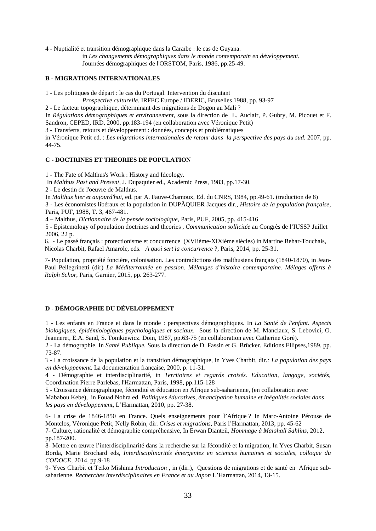4 - Nuptialité et transition démographique dans la Caraïbe : le cas de Guyana.

in *Les changements démographiques dans le monde contemporain en développement.*  Journées démographiques de l'ORSTOM, Paris, 1986, pp.25-49.

#### **B - MIGRATIONS INTERNATIONALES**

1 - Les politiques de départ : le cas du Portugal. Intervention du discutant

*Prospective culturelle.* IRFEC Europe / IDERIC, Bruxelles 1988, pp. 93-97

2 - Le facteur topographique, déterminant des migrations de Dogon au Mali ?

In *Régulations démographiques et environnement*, sous la direction de L. Auclair, P. Gubry, M. Picouet et F. Sandron, CEPED, IRD, 2000, pp.183-194 (en collaboration avec Véronique Petit)

3 - Transferts, retours et développement : données, concepts et problématiques

in Véronique Petit ed. : *Les migrations internationales de retour dans la perspective des pays du sud.* 2007, pp. 44-75.

#### **C - DOCTRINES ET THEORIES DE POPULATION**

1 - The Fate of Malthus's Work : History and Ideology.

In *Malthus Past and Present,* J. Dupaquier ed., Academic Press, 1983, pp.17-30.

2 - Le destin de l'oeuvre de Malthus.

In *Malthus hier et aujourd'hui,* ed. par A. Fauve-Chamoux, Ed. du CNRS, 1984, pp.49-61. (traduction de 8) 3 - Les économistes libéraux et la population in DUPÂQUIER Jacques dir., *Histoire de la population française*, Paris, PUF, 1988, T. 3, 467-481.

4 – Malthus, *Dictionnaire de la pensée sociologique*, Paris, PUF, 2005, pp. 415-416

5 - Epistemology of population doctrines and theories , *Communication sollicitée* au Congrès de l'IUSSP Juillet 2006, 22 p.

6. - Le passé français : protectionisme et concurrence (XVIième-XIXième siècles) in Martine Behar-Touchais, Nicolas Charbit, Rafael Amarole, eds. *A quoi sert la concurrence* ?, Paris, 2014, pp. 25-31.

7- Population, propriété foncière, colonisation. Les contradictions des malthusiens français (1840-1870), in Jean-Paul Pellegrinetti (dir) *La Méditerrannée en passion. Mélanges d'histoire contemporaine. Mélages offerts à Ralph Schor*, Paris, Garnier, 2015, pp. 263-277.

#### **D - DÉMOGRAPHIE DU DÉVELOPPEMENT**

1 - Les enfants en France et dans le monde : perspectives démographiques. In *La Santé de l'enfant. Aspects biologiques, épidémiologiques psychologiques et sociaux.* Sous la direction de M. Manciaux, S. Lebovici, O. Jeanneret, E.A. Sand, S. Tomkiewicz. Doin, 1987, pp.63-75 (en collaboration avec Catherine Goré).

2 - La démographie. In *Santé Publique.* Sous la direction de D. Fassin et G. Brücker. Editions Ellipses,1989, pp. 73-87.

3 - La croissance de la population et la transition démographique, in Yves Charbit, dir*.: La population des pays en développement.* La documentation française, 2000, p. 11-31.

4 - Démographie et interdisciplinarité, in *Territoires et regards croisés. Education, langage, sociétés,*  Coordination Pierre Parlebas, l'Harmattan, Paris, 1998, pp.115-128

5 - Croissance démographique, fécondité et éducation en Afrique sub-saharienne, (en collaboration avec Mababou Kebe), in Fouad Nohra ed. *Politiques éducatives, émancipation humaine et inégalités sociales dans les pays en développement,* L'Harmattan, 2010, pp. 27-38.

6- La crise de 1846-1850 en France. Quels enseignements pour l'Afrique ? In Marc-Antoine Pérouse de Montclos, Véronique Petit, Nelly Robin, dir. *Crises et migrations*, Paris l'Harmattan, 2013, pp. 45-62

7- Culture, rationalité et démographie compréhensive, In Erwan Dianteil, *Hommage à Marshall Sahlins*, 2012, pp.187-200.

8- Mettre en œuvre l'interdisciplinarité dans la recherche sur la fécondité et la migration, In Yves Charbit, Susan Borda, Marie Brochard eds, *Interdisciplinarités émergentes en sciences humaines et sociales, colloque du CODOCE,* 2014, pp.9-18

9- Yves Charbit et Teiko Mishima *Introduction* , in (dir.), Questions de migrations et de santé en Afrique subsaharienne. *Recherches interdisciplinaires en France et au Japon* L'Harmattan, 2014, 13-15.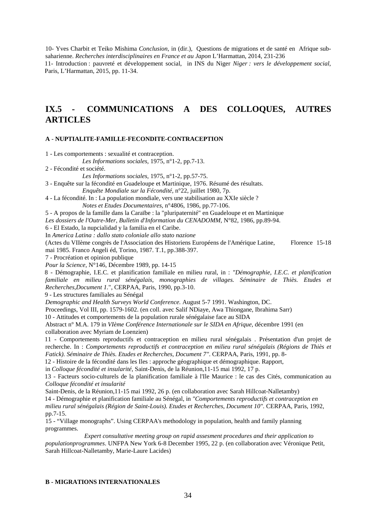10- Yves Charbit et Teiko Mishima *Conclusion*, in (dir.), Questions de migrations et de santé en Afrique subsaharienne. *Recherches interdisciplinaires en France et au Japon* L'Harmattan, 2014, 231-236 11- Introduction : pauvreté et développement social, in INS du Niger *Niger : vers le développement social*, Paris, L'Harmattan, 2015, pp. 11-34.

## **IX.5 - COMMUNICATIONS A DES COLLOQUES, AUTRES ARTICLES**

#### **A** - **NUPTIALITE-FAMILLE-FECONDITE-CONTRACEPTION**

1 - Les comportements : sexualité et contraception.

*Les Informations sociales,* 1975, n°1-2, pp.7-13.

2 - Fécondité et société.

*Les Informations sociales,* 1975, n°1-2, pp.57-75.

3 - Enquête sur la fécondité en Guadeloupe et Martinique, 1976. Résumé des résultats.

*Enquête Mondiale sur la Fécondité,* n°22, juillet 1980, 7p.

4 - La fécondité. In : La population mondiale, vers une stabilisation au XXIe siècle ? *Notes et Etudes Documentaires,* n°4806, 1986, pp.77-106.

5 - A propos de la famille dans la Caraïbe : la "pluripaternité" en Guadeloupe et en Martinique

Les dossiers de l'Outre-Mer, Bulletin d'Information du CENADOMM, N°82, 1986, pp.89-94.

6 - El Estado, la nupcialidad y la familia en el Caribe.

In *America Latina : dallo stato coloniale allo stato nazione* 

(Actes du VIIème congrès de l'Association des Historiens Européens de l'Amérique Latine, Florence 15-18 mai 1985. Franco Angeli éd, Torino, 1987. T.1, pp.388-397.

7 - Procréation et opinion publique

*Pour la Science,* N°146, Décembre 1989, pp. 14-15

8 - Démographie, I.E.C. et planification familiale en milieu rural, in : *"Démographie, I.E.C. et planification*  familiale en milieu rural sénégalais, monographies de villages. Séminaire de Thiès. Etudes et *Recherches,Document 1.*", CERPAA, Paris, 1990, pp.3-10.

9 - Les structures familiales au Sénégal

*Demographic and Health Surveys World Conference.* August 5-7 1991. Washington, DC.

Proceedings, Vol III, pp. 1579-1602. (en coll. avec Salif NDiaye, Awa Thiongane, Ibrahima Sarr)

10 - Attitudes et comportements de la population rurale sénégalaise face au SIDA

Abstract n° M.A. 179 in *VIème Conférence Internationale sur le SIDA en Afrique,* décembre 1991 (en collaboration avec Myriam de Loenzien)

11 - Comportements reproductifs et contraception en milieu rural sénégalais . Présentation d'un projet de recherche. In : *Comportements reproductifs et contraception en milieu rural sénégalais (Régions de Thiès et Fatick). Séminaire de Thiès. Etudes et Recherches, Document 7"*. CERPAA, Paris, 1991, pp. 8-

12 - Histoire de la fécondité dans les Iles : approche géographique et démographique. Rapport,

in *Colloque fécondité et insularité,* Saint-Denis, de la Réunion,11-15 mai 1992, 17 p.

13 - Facteurs socio-culturels de la planification familiale à l'Ile Maurice : le cas des Cités, communication au *Colloque fécondité et insularité*

Saint-Denis, de la Réunion,11-15 mai 1992, 26 p. (en collaboration avec Sarah Hillcoat-Nalletamby)

14 - Démographie et planification familiale au Sénégal, in *"Comportements reproductifs et contraception en* 

*milieu rural sénégalais (Région de Saint-Louis). Etudes et Recherches, Document 10".* CERPAA, Paris, 1992, pp.7-15.

15 - "Village monographs". Using CERPAA's methodology in population, health and family planning programmes.

*Expert consultative meeting group on rapid assesment procedures and their application to populationprogrammes*. UNFPA New York 6-8 December 1995, 22 p. (en collaboration avec Véronique Petit, Sarah Hillcoat-Nalletamby, Marie-Laure Lacides)

#### **B - MIGRATIONS INTERNATIONALES**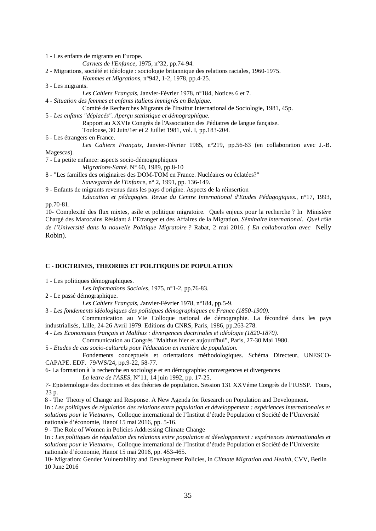1 - Les enfants de migrants en Europe.

*Carnets de l'Enfance,* 1975, n°32, pp.74-94.

2 - Migrations, société et idéologie : sociologie britannique des relations raciales, 1960-1975.

*Hommes et Migrations,* n°942, 1-2, 1978, pp.4-25.

3 - Les migrants.

*Les Cahiers Français,* Janvier-Février 1978, n°184, Notices 6 et 7.

4 - *Situation des femmes et enfants italiens immigrés en Belgique.* 

Comité de Recherches Migrants de l'Institut International de Sociologie, 1981, 45p.

5 - *Les enfants "déplacés". Aperçu statistique et démographique.* 

Rapport au XXVIe Congrès de l'Association des Pédiatres de langue fançaise.

Toulouse, 30 Juin/1er et 2 Juillet 1981, vol. I, pp.183-204.

6 - Les étrangers en France.

*Les Cahiers Français,* Janvier-Février 1985, n°219, pp.56-63 (en collaboration avec J.-B. Magescas).

7 - La petite enfance: aspects socio-démographiques

*Migrations-Santé.* N° 60, 1989, pp.8-10

8 - "Les familles des originaires des DOM-TOM en France. Nucléaires ou éclatées?"

*Sauvegarde de l'Enfance,* n° 2, 1991, pp. 136-149.

9 - Enfants de migrants revenus dans les pays d'origine. Aspects de la réinsertion

*Education et pédagogies. Revue du Centre International d'Etudes Pédagogiques.,* n°17, 1993, pp.70-81.

10- Complexité des flux mixtes, asile et politique migratoire. Quels enjeux pour la recherche ? In Minist*ère*  Chargé des Marocains Résidant à l'Etranger et des Affaires de la Migration*, Séminaire international. Quel rôle de l'Université dans la nouvelle Politique Migratoire ?* Rabat, 2 mai 2016. *( En collaboration avec* Nelly Robin).

#### **C** - **DOCTRINES, THEORIES ET POLITIQUES DE POPULATION**

1 - Les politiques démographiques.

*Les Informations Sociales,* 1975, n°1-2, pp.76-83.

2 - Le passé démographique.

*Les Cahiers Français, J*anvier-Février 1978, n°184, pp.5-9.

3 - *Les fondements idéologiques des politiques démographiques en France (1850-1900).* 

Communication au VIe Colloque national de démographie. La fécondité dans les pays industrialisés, Lille, 24-26 Avril 1979. Editions du CNRS, Paris, 1986, pp.263-278.

4 - *Les Economistes français et Malthus : divergences doctrinales et idéologie (1820-1870).*

Communication au Congrès "Malthus hier et aujourd'hui", Paris, 27-30 Mai 1980.

5 - *Etudes de cas socio-culturels pour l'éducation en matière de population.*

Fondements conceptuels et orientations méthodologiques. Schéma Directeur, UNESCO-CAPAPE. EDF. 79/WS/24, pp.9-22, 58-77.

6- La formation à la recherche en sociologie et en démographie: convergences et divergences *La lettre de l'ASES,* N°11, 14 juin 1992, pp. 17-25.

*7-* Epistemologie des doctrines et des théories de population. Session 131 XXVéme Congrès de l'IUSSP. Tours, 23 p.

8 - The Theory of Change and Response. A New Agenda for Research on Population and Development.

In : *Les politiques de régulation des relations entre population et développement : expériences internationales et solutions pour le Vietnam*», Colloque international de l'Institut d'étude Population et Société de l'Université nationale d'économie, Hanoï 15 mai 2016, pp. 5-16.

9 - The Role of Women in Policies Addressing Climate Change

In *: Les politiques de régulation des relations entre population et développement : expériences internationales et solutions pour le Vietnam*», Colloque international de l'Institut d'étude Population et Société de l'Universite nationale d'économie, Hanoï 15 mai 2016, pp. 453-465.

10- Migration: Gender Vulnerability and Development Policies, in *Climate Migration and Health*, CVV, Berlin 10 June 2016